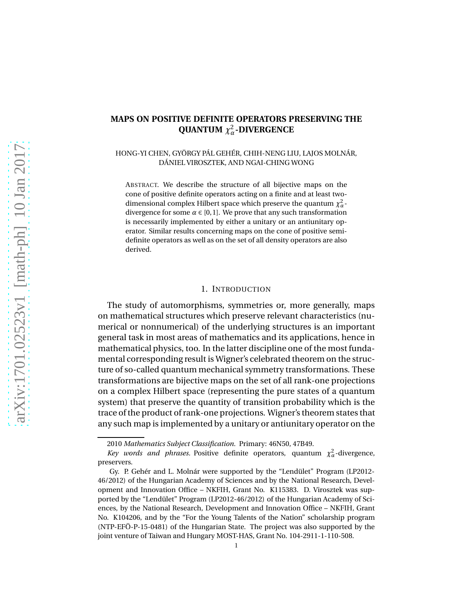# **MAPS ON POSITIVE DEFINITE OPERATORS PRESERVING THE QUANTUM**  $\chi^2_\alpha$ -**DIVERGENCE**

HONG-YI CHEN, GYÖRGY PÁL GEHÉR, CHIH-NENG LIU, LAJOS MOLNÁR, DÁNIEL VIROSZTEK, AND NGAI-CHING WONG

ABSTRACT. We describe the structure of all bijective maps on the cone of positive definite operators acting on a finite and at least twodimensional complex Hilbert space which preserve the quantum  $\chi^2_\alpha$ divergence for some  $\alpha \in [0,1]$ . We prove that any such transformation is necessarily implemented by either a unitary or an antiunitary operator. Similar results concerning maps on the cone of positive semidefinite operators as well as on the set of all density operators are also derived.

### 1. INTRODUCTION

The study of automorphisms, symmetries or, more generally, maps on mathematical structures which preserve relevant characteristics (numerical or nonnumerical) of the underlying structures is an important general task in most areas of mathematics and its applications, hence in mathematical physics, too. In the latter discipline one of the most fundamental corresponding result is Wigner's celebrated theorem on the structure of so-called quantum mechanical symmetry transformations. These transformations are bijective maps on the set of all rank-one projections on a complex Hilbert space (representing the pure states of a quantum system) that preserve the quantity of transition probability which is the trace of the product of rank-one projections. Wigner's theorem states that any such map is implemented by a unitary or antiunitary operator on the

<sup>2010</sup> *Mathematics Subject Classification.* Primary: 46N50, 47B49.

*Key words and phrases.* Positive definite operators, quantum  $\chi^2_{\alpha}$ -divergence, preservers.

Gy. P. Gehér and L. Molnár were supported by the "Lendület" Program (LP2012- 46/2012) of the Hungarian Academy of Sciences and by the National Research, Development and Innovation Office – NKFIH, Grant No. K115383. D. Virosztek was supported by the "Lendület" Program (LP2012-46/2012) of the Hungarian Academy of Sciences, by the National Research, Development and Innovation Office – NKFIH, Grant No. K104206, and by the "For the Young Talents of the Nation" scholarship program (NTP-EFÖ-P-15-0481) of the Hungarian State. The project was also supported by the joint venture of Taiwan and Hungary MOST-HAS, Grant No. 104-2911-1-110-508.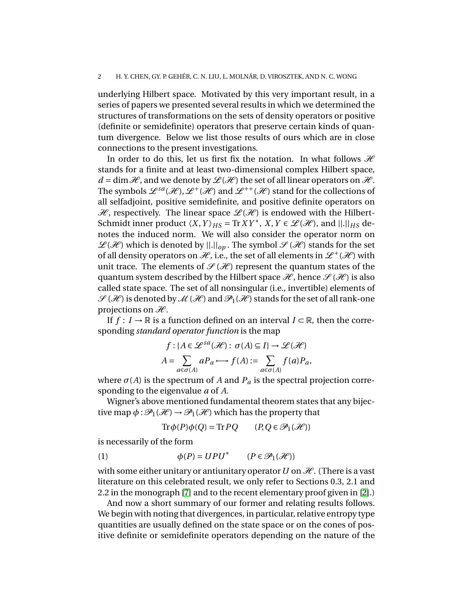underlying Hilbert space. Motivated by this very important result, in a series of papers we presented several results in which we determined the structures of transformations on the sets of density operators or positive (definite or semidefinite) operators that preserve certain kinds of quantum divergence. Below we list those results of ours which are in close connections to the present investigations.

In order to do this, let us first fix the notation. In what follows  $\mathcal{H}$ stands for a finite and at least two-dimensional complex Hilbert space,  $d = \dim \mathcal{H}$ , and we denote by  $\mathcal{L}(\mathcal{H})$  the set of all linear operators on  $\mathcal{H}$ . The symbols  $\mathscr{L}^{sa}(\mathscr{H}), \mathscr{L}^+(\mathscr{H})$  and  $\mathscr{L}^{++}(\mathscr{H})$  stand for the collections of all selfadjoint, positive semidefinite, and positive definite operators on  $\mathcal{H}$ , respectively. The linear space  $\mathcal{L}(\mathcal{H})$  is endowed with the Hilbert-Schmidt inner product  $\langle X, Y \rangle_{HS} = \text{Tr} XY^*$ ,  $X, Y \in \mathcal{L(H)}$ , and  $||.||_{HS}$  denotes the induced norm. We will also consider the operator norm on  $\mathscr{L}(\mathscr{H})$  which is denoted by  $\|.\|_{op}$ . The symbol  $\mathscr{S}(\mathscr{H})$  stands for the set of all density operators on  $\mathcal{H}$ , i.e., the set of all elements in  $\mathcal{L}^+(\mathcal{H})$  with unit trace. The elements of  $\mathcal{S}(\mathcal{H})$  represent the quantum states of the quantum system described by the Hilbert space  $\mathcal{H}$ , hence  $\mathcal{S}(\mathcal{H})$  is also called state space. The set of all nonsingular (i.e., invertible) elements of  $\mathscr{S}(\mathscr{H})$  is denoted by  $\mathscr{M}(\mathscr{H})$  and  $\mathscr{P}_1(\mathscr{H})$  stands for the set of all rank-one projections on  $\mathcal{H}$ .

If *f* : *I* → ℝ is a function defined on an interval *I* ⊂ ℝ, then the corresponding *standard operator function* is the map

$$
f: \{A \in \mathcal{L}^{sa}(\mathcal{H}) : \sigma(A) \subseteq I\} \to \mathcal{L}(\mathcal{H})
$$

$$
A = \sum_{a \in \sigma(A)} aP_a \longrightarrow f(A) := \sum_{a \in \sigma(A)} f(a)P_a,
$$

where  $\sigma(A)$  is the spectrum of *A* and  $P_a$  is the spectral projection corresponding to the eigenvalue *a* of *A*.

Wigner's above mentioned fundamental theorem states that any bijective map  $\phi : \mathcal{P}_1(\mathcal{H}) \to \mathcal{P}_1(\mathcal{H})$  which has the property that

<span id="page-1-0"></span>
$$
\text{Tr}\,\phi(P)\phi(Q) = \text{Tr}\,P Q \qquad (P, Q \in \mathcal{P}_1(\mathcal{H}))
$$

is necessarily of the form

(1) 
$$
\phi(P) = UPU^* \qquad (P \in \mathcal{P}_1(\mathcal{H}))
$$

with some either unitary or antiunitary operator  $U$  on  $\mathcal{H}$ . (There is a vast literature on this celebrated result, we only refer to Sections 0.3, 2.1 and 2.2 in the monograph [\[7\]](#page-21-0) and to the recent elementary proof given in [\[2\]](#page-21-1).)

And now a short summary of our former and relating results follows. We begin with noting that divergences, in particular, relative entropy type quantities are usually defined on the state space or on the cones of positive definite or semidefinite operators depending on the nature of the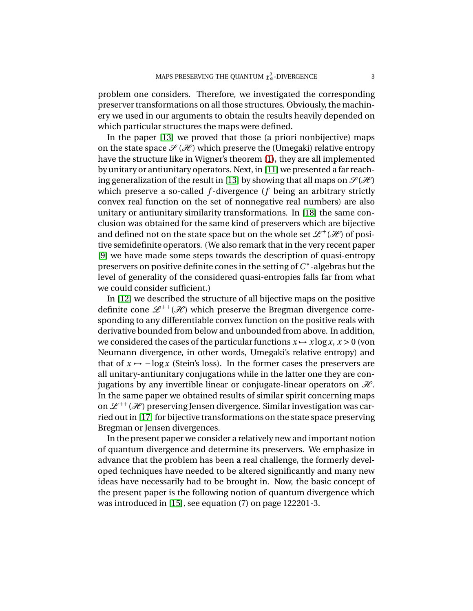problem one considers. Therefore, we investigated the corresponding preserver transformations on all those structures. Obviously, the machinery we used in our arguments to obtain the results heavily depended on which particular structures the maps were defined.

In the paper [\[13\]](#page-22-0) we proved that those (a priori nonbijective) maps on the state space  $\mathscr{S}(\mathscr{H})$  which preserve the (Umegaki) relative entropy have the structure like in Wigner's theorem [\(1\)](#page-1-0), they are all implemented by unitary or antiunitary operators. Next, in [\[11\]](#page-22-1) we presented a far reach-ing generalization of the result in [\[13\]](#page-22-0) by showing that all maps on  $\mathcal{S}(H)$ which preserve a so-called *f* -divergence (*f* being an arbitrary strictly convex real function on the set of nonnegative real numbers) are also unitary or antiunitary similarity transformations. In [\[18\]](#page-22-2) the same conclusion was obtained for the same kind of preservers which are bijective and defined not on the state space but on the whole set  $\mathcal{L}^+(\mathcal{H})$  of positive semidefinite operators. (We also remark that in the very recent paper [\[9\]](#page-21-2) we have made some steps towards the description of quasi-entropy preservers on positive definite cones in the setting of  $C^*$ -algebras but the level of generality of the considered quasi-entropies falls far from what we could consider sufficient.)

In [\[12\]](#page-22-3) we described the structure of all bijective maps on the positive definite cone  $\mathcal{L}^{++}(\mathcal{H})$  which preserve the Bregman divergence corresponding to any differentiable convex function on the positive reals with derivative bounded from below and unbounded from above. In addition, we considered the cases of the particular functions  $x \mapsto x \log x$ ,  $x > 0$  (von Neumann divergence, in other words, Umegaki's relative entropy) and that of  $x \mapsto -\log x$  (Stein's loss). In the former cases the preservers are all unitary-antiunitary conjugations while in the latter one they are conjugations by any invertible linear or conjugate-linear operators on  $\mathcal{H}$ . In the same paper we obtained results of similar spirit concerning maps on  $\mathcal{L}^{++}(\mathcal{H})$  preserving Jensen divergence. Similar investigation was carried out in [\[17\]](#page-22-4) for bijective transformations on the state space preserving Bregman or Jensen divergences.

In the present paper we consider a relatively new and important notion of quantum divergence and determine its preservers. We emphasize in advance that the problem has been a real challenge, the formerly developed techniques have needed to be altered significantly and many new ideas have necessarily had to be brought in. Now, the basic concept of the present paper is the following notion of quantum divergence which was introduced in [\[15\]](#page-22-5), see equation (7) on page 122201-3.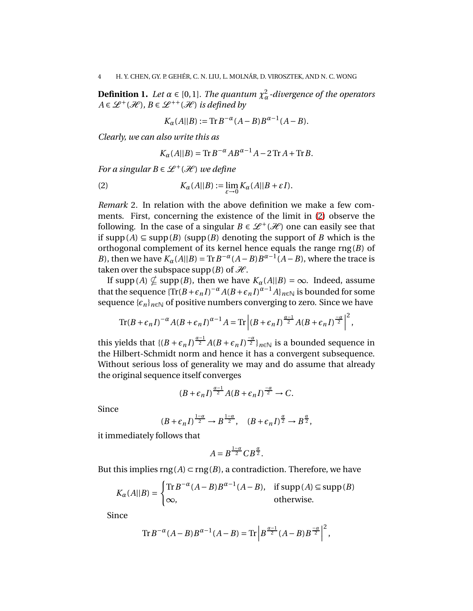<span id="page-3-1"></span>**Definition 1.** *Let*  $\alpha \in [0,1]$ . *The quantum*  $\chi^2_{\alpha}$ -divergence of the operators  $A \in \mathcal{L}^+(\mathcal{H})$ ,  $B \in \mathcal{L}^{++}(\mathcal{H})$  *is defined by* 

$$
K_{\alpha}(A||B) := \text{Tr} B^{-\alpha} (A - B) B^{\alpha - 1} (A - B).
$$

*Clearly, we can also write this as*

<span id="page-3-0"></span>
$$
K_{\alpha}(A||B) = \text{Tr} B^{-\alpha} AB^{\alpha-1} A - 2 \text{Tr} A + \text{Tr} B.
$$

*For a singular*  $B \in \mathcal{L}^+(\mathcal{H})$  *we define* 

(2) 
$$
K_{\alpha}(A||B) := \lim_{\varepsilon \to 0} K_{\alpha}(A||B + \varepsilon I).
$$

*Remark* 2*.* In relation with the above definition we make a few comments. First, concerning the existence of the limit in [\(2\)](#page-3-0) observe the following. In the case of a singular  $B \in \mathcal{L}^+(\mathcal{H})$  one can easily see that if supp(*A*) ⊆ supp(*B*) (supp(*B*) denoting the support of *B* which is the orthogonal complement of its kernel hence equals the range rng (*B*) of *B*), then we have  $K_{\alpha}(A||B) = \text{Tr } B^{-\alpha}(A-B)B^{\alpha-1}(A-B)$ , where the trace is taken over the subspace supp $(B)$  of  $H$ .

If supp(*A*)  $\nsubseteq$  supp(*B*), then we have  $K_{\alpha}(A||B) = \infty$ . Indeed, assume that the sequence  $\{Tr(B+\epsilon_{n}I)^{-\alpha}A(B+\epsilon_{n}I)^{\alpha-1}A\}_{n\in\mathbb{N}}$  is bounded for some sequence  $\{\epsilon_n\}_{n\in\mathbb{N}}$  of positive numbers converging to zero. Since we have

$$
\operatorname{Tr}(B+\epsilon_n I)^{-\alpha} A(B+\epsilon_n I)^{\alpha-1} A = \operatorname{Tr} \left| (B+\epsilon_n I)^{\frac{\alpha-1}{2}} A(B+\epsilon_n I)^{\frac{-\alpha}{2}} \right|^2,
$$

this yields that  $\{(B + \epsilon_n I)^{\frac{\alpha-1}{2}} A(B + \epsilon_n I)^{\frac{-\alpha}{2}}\}_{n \in \mathbb{N}}$  is a bounded sequence in the Hilbert-Schmidt norm and hence it has a convergent subsequence. Without serious loss of generality we may and do assume that already the original sequence itself converges

$$
(B+\epsilon_n I)^{\frac{\alpha-1}{2}}A(B+\epsilon_n I)^{\frac{-\alpha}{2}}\to C.
$$

Since

$$
(B+\epsilon_n I)^{\frac{1-\alpha}{2}} \to B^{\frac{1-\alpha}{2}}, \quad (B+\epsilon_n I)^{\frac{\alpha}{2}} \to B^{\frac{\alpha}{2}},
$$

it immediately follows that

$$
A=B^{\frac{1-\alpha}{2}}CB^{\frac{\alpha}{2}}.
$$

But this implies  $\text{rng}(A) \subset \text{rng}(B)$ , a contradiction. Therefore, we have

$$
K_{\alpha}(A||B) = \begin{cases} \text{Tr}\, B^{-\alpha}(A-B)B^{\alpha-1}(A-B), & \text{if } \text{supp}(A) \subseteq \text{supp}(B) \\ \infty, & \text{otherwise.} \end{cases}
$$

Since

$$
\text{Tr}\,B^{-\alpha}(A-B)B^{\alpha-1}(A-B)=\text{Tr}\left|B^{\frac{\alpha-1}{2}}(A-B)B^{\frac{-\alpha}{2}}\right|^2,
$$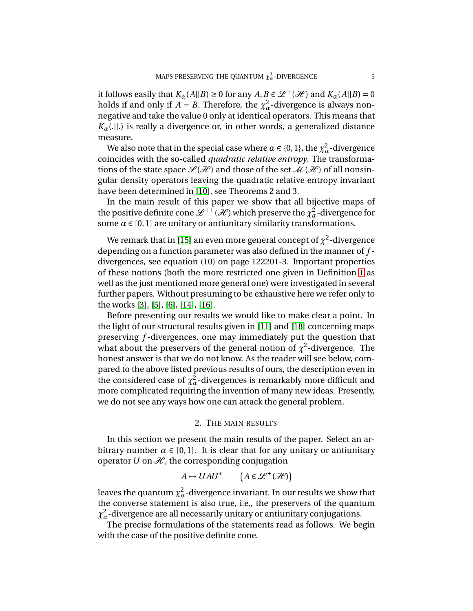it follows easily that  $K_\alpha(A||B) \ge 0$  for any  $A, B \in \mathcal{L}^+(A)$  and  $K_\alpha(A||B) = 0$ holds if and only if  $A = B$ . Therefore, the  $\chi^2_{\alpha}$ -divergence is always nonnegative and take the value 0 only at identical operators. This means that  $K_{\alpha}(.||.)$  is really a divergence or, in other words, a generalized distance measure.

We also note that in the special case where  $\alpha \in \{0,1\}$ , the  $\chi^2_{\alpha}$ -divergence coincides with the so-called *quadratic relative entropy.* The transformations of the state space  $\mathcal{S}(H)$  and those of the set  $\mathcal{M}(H)$  of all nonsingular density operators leaving the quadratic relative entropy invariant have been determined in [\[10\]](#page-22-6), see Theorems 2 and 3.

In the main result of this paper we show that all bijective maps of the positive definite cone  $\mathscr{L}^{++}(\mathscr{H})$  which preserve the  $\chi^2_\alpha$ -divergence for some  $\alpha \in [0,1]$  are unitary or antiunitary similarity transformations.

We remark that in [\[15\]](#page-22-5) an even more general concept of  $\chi^2$ -divergence depending on a function parameter was also defined in the manner of *f* divergences, see equation (10) on page 122201-3. Important properties of these notions (both the more restricted one given in Definition [1](#page-3-1) as well as the just mentioned more general one) were investigated in several further papers. Without presuming to be exhaustive here we refer only to the works [\[3\]](#page-21-3), [\[5\]](#page-21-4), [\[6\]](#page-21-5), [\[14\]](#page-22-7), [\[16\]](#page-22-8).

Before presenting our results we would like to make clear a point. In the light of our structural results given in [\[11\]](#page-22-1) and [\[18\]](#page-22-2) concerning maps preserving *f* -divergences, one may immediately put the question that what about the preservers of the general notion of  $\chi^2$ -divergence. The honest answer is that we do not know. As the reader will see below, compared to the above listed previous results of ours, the description even in the considered case of  $\chi^2_\alpha$ -divergences is remarkably more difficult and more complicated requiring the invention of many new ideas. Presently, we do not see any ways how one can attack the general problem.

# 2. THE MAIN RESULTS

In this section we present the main results of the paper. Select an arbitrary number  $\alpha \in [0,1]$ . It is clear that for any unitary or antiunitary operator  $U$  on  $\mathcal{H}$ , the corresponding conjugation

$$
A \mapsto UAU^* \qquad \left(A \in \mathcal{L}^+(\mathcal{H})\right)
$$

leaves the quantum  $\chi^2_\alpha$ -divergence invariant. In our results we show that the converse statement is also true, i.e., the preservers of the quantum  $\chi^2_{\alpha}$ -divergence are all necessarily unitary or antiunitary conjugations.

The precise formulations of the statements read as follows. We begin with the case of the positive definite cone.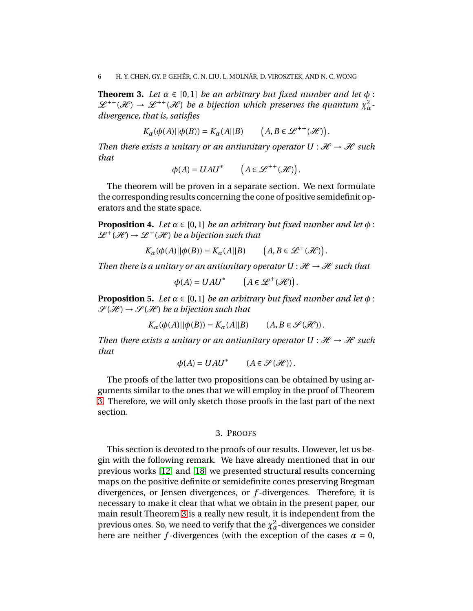<span id="page-5-0"></span>**Theorem 3.** Let  $\alpha \in [0,1]$  be an arbitrary but fixed number and let  $\phi$ :  $\mathscr{L}^{++}(\mathscr{H}) \to \mathscr{L}^{++}(\mathscr{H})$  *be a bijection which preserves the quantum*  $\chi^2$ <sub>*a*</sub>*divergence, that is, satisfies*

 $K_{\alpha}(\phi(A)||\phi(B)) = K_{\alpha}(A||B)$   $(A, B \in \mathcal{L}^{++}(\mathcal{H})$ .

*Then there exists a unitary or an antiunitary operator*  $U : \mathcal{H} \to \mathcal{H}$  *such that*

$$
\phi(A) = UAU^* \qquad \left(A \in \mathcal{L}^{++}(\mathcal{H})\right).
$$

The theorem will be proven in a separate section. We next formulate the corresponding results concerning the cone of positive semidefinit operators and the state space.

<span id="page-5-1"></span>**Proposition 4.** *Let*  $\alpha \in [0,1]$  *be an arbitrary but fixed number and let*  $\phi$ :  $\mathscr{L}^+(\mathscr{H}) \to \mathscr{L}^+(\mathscr{H})$  be a bijection such that

$$
K_{\alpha}(\phi(A)||\phi(B))=K_{\alpha}(A||B)\qquad \big(A,B\in\mathscr{L}^{+}(\mathscr{H})\big).
$$

*Then there is a unitary or an antiunitary operator*  $U : \mathcal{H} \to \mathcal{H}$  *such that* 

$$
\phi(A) = UAU^* \qquad \left(A \in \mathcal{L}^+(\mathcal{H})\right).
$$

<span id="page-5-2"></span>**Proposition 5.** *Let*  $\alpha \in [0,1]$  *be an arbitrary but fixed number and let*  $\phi$ :  $\mathscr{S}(\mathcal{H}) \rightarrow \mathscr{S}(\mathcal{H})$  be a bijection such that

$$
K_{\alpha}(\phi(A)||\phi(B)) = K_{\alpha}(A||B) \qquad (A, B \in \mathcal{S}(\mathcal{H})).
$$

*Then there exists a unitary or an antiunitary operator U :*  $H \rightarrow H$  *such that*

$$
\phi(A) = UAU^* \qquad (A \in \mathcal{S}(\mathcal{H})).
$$

The proofs of the latter two propositions can be obtained by using arguments similar to the ones that we will employ in the proof of Theorem [3.](#page-5-0) Therefore, we will only sketch those proofs in the last part of the next section.

#### 3. PROOFS

This section is devoted to the proofs of our results. However, let us begin with the following remark. We have already mentioned that in our previous works [\[12\]](#page-22-3) and [\[18\]](#page-22-2) we presented structural results concerning maps on the positive definite or semidefinite cones preserving Bregman divergences, or Jensen divergences, or *f* -divergences. Therefore, it is necessary to make it clear that what we obtain in the present paper, our main result Theorem [3](#page-5-0) is a really new result, it is independent from the previous ones. So, we need to verify that the  $\chi^2_\alpha$ -divergences we consider here are neither *f*-divergences (with the exception of the cases  $\alpha = 0$ ,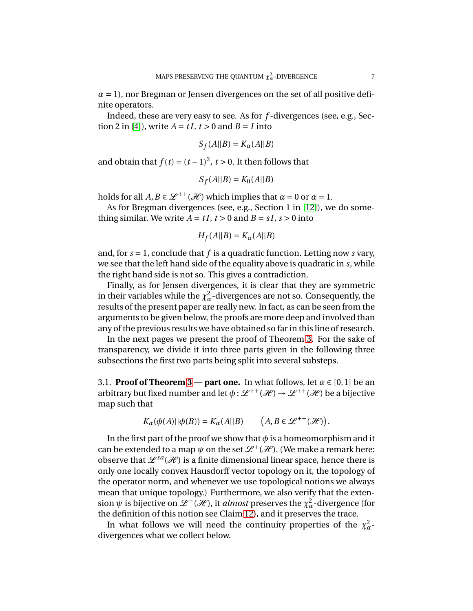$\alpha = 1$ , nor Bregman or Jensen divergences on the set of all positive definite operators.

Indeed, these are very easy to see. As for *f* -divergences (see, e.g., Sec-tion 2 in [\[4\]](#page-21-6)), write  $A = tI$ ,  $t > 0$  and  $B = I$  into

$$
S_f(A||B) = K_{\alpha}(A||B)
$$

and obtain that  $f(t) = (t-1)^2$ ,  $t > 0$ . It then follows that

$$
S_f(A||B) = K_0(A||B)
$$

holds for all  $A, B \in \mathcal{L}^{++}(\mathcal{H})$  which implies that  $\alpha = 0$  or  $\alpha = 1$ .

As for Bregman divergences (see, e.g., Section 1 in [\[12\]](#page-22-3)), we do something similar. We write  $A = tI$ ,  $t > 0$  and  $B = sI$ ,  $s > 0$  into

$$
H_f(A||B) = K_{\alpha}(A||B)
$$

and, for *s* = 1, conclude that *f* is a quadratic function. Letting now *s* vary, we see that the left hand side of the equality above is quadratic in *s*, while the right hand side is not so. This gives a contradiction.

Finally, as for Jensen divergences, it is clear that they are symmetric in their variables while the  $\chi^2_\alpha$ -divergences are not so. Consequently, the results of the present paper are really new. In fact, as can be seen from the arguments to be given below, the proofs are more deep and involved than any of the previous results we have obtained so far in this line of research.

In the next pages we present the proof of Theorem [3.](#page-5-0) For the sake of transparency, we divide it into three parts given in the following three subsections the first two parts being split into several substeps.

<span id="page-6-0"></span>3.1. **Proof of Theorem [3](#page-5-0)** — **part one.** In what follows, let  $\alpha \in [0,1]$  be an arbitrary but fixed number and let  $\phi : \mathcal{L}^{++}(\mathcal{H}) \to \mathcal{L}^{++}(\mathcal{H})$  be a bijective map such that

$$
K_{\alpha}(\phi(A)||\phi(B))=K_{\alpha}(A||B)\qquad \big(A,B\in\mathscr{L}^{++}(\mathscr{H})\big).
$$

In the first part of the proof we show that  $\phi$  is a homeomorphism and it can be extended to a map  $\psi$  on the set  $\mathcal{L}^+(\mathcal{H})$ . (We make a remark here: observe that  $\mathcal{L}^{sa}(\mathcal{H})$  is a finite dimensional linear space, hence there is only one locally convex Hausdorff vector topology on it, the topology of the operator norm, and whenever we use topological notions we always mean that unique topology.) Furthermore, we also verify that the extension  $\psi$  is bijective on  $\mathscr{L}^+(\mathscr{H})$ , it *almost* preserves the  $\chi^2_\alpha$ -divergence (for the definition of this notion see Claim [12\)](#page-11-0), and it preserves the trace.

In what follows we will need the continuity properties of the  $\chi^2_{\alpha}$ divergences what we collect below.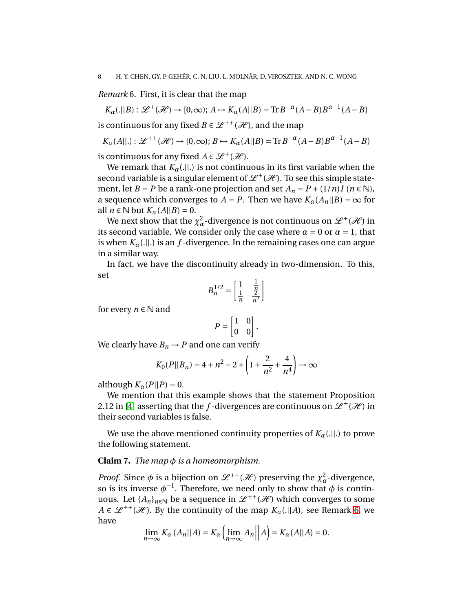### <span id="page-7-0"></span>*Remark* 6*.* First, it is clear that the map

 $K_{\alpha}(.||B): \mathscr{L}^+(\mathscr{H}) \to [0,\infty); A \mapsto K_{\alpha}(A||B) = \text{Tr} B^{-\alpha}(A-B)B^{\alpha-1}(A-B)$ 

is continuous for any fixed *B*  $\in \mathcal{L}^{++}(\mathcal{H})$ , and the map

$$
K_{\alpha}(A||.): \mathcal{L}^{++}(\mathcal{H}) \to [0, \infty); B \to K_{\alpha}(A||B) = \text{Tr} B^{-\alpha}(A - B)B^{\alpha - 1}(A - B)
$$

is continuous for any fixed  $A \in \mathcal{L}^+(\mathcal{H})$ .

We remark that  $K_\alpha(.||.)$  is not continuous in its first variable when the second variable is a singular element of  $\mathcal{L}^+(\mathcal{H})$ . To see this simple statement, let *B* = *P* be a rank-one projection and set  $A_n = P + (1/n)I$  ( $n \in \mathbb{N}$ ), a sequence which converges to  $A = P$ . Then we have  $K_{\alpha}(A_n||B) = \infty$  for all  $n \in \mathbb{N}$  but  $K_{\alpha}(A||B) = 0$ .

We next show that the  $\chi^2_\alpha$ -divergence is not continuous on  $\mathscr{L}^+(\mathscr{H})$  in its second variable. We consider only the case where  $\alpha = 0$  or  $\alpha = 1$ , that is when  $K_\alpha(.||.)$  is an *f*-divergence. In the remaining cases one can argue in a similar way.

In fact, we have the discontinuity already in two-dimension. To this, set

$$
B_n^{1/2} = \begin{bmatrix} 1 & \frac{1}{n} \\ \frac{1}{n} & \frac{2}{n^2} \end{bmatrix}
$$

for every  $n \in \mathbb{N}$  and

$$
P = \begin{bmatrix} 1 & 0 \\ 0 & 0 \end{bmatrix}.
$$

We clearly have  $B_n \to P$  and one can verify

$$
K_0(P||B_n) = 4 + n^2 - 2 + \left(1 + \frac{2}{n^2} + \frac{4}{n^4}\right) \to \infty
$$

although  $K_{\alpha}(P||P) = 0$ .

We mention that this example shows that the statement Proposition 2.12 in [\[4\]](#page-21-6) asserting that the *f*-divergences are continuous on  $\mathcal{L}^+(\mathcal{H})$  in their second variables is false.

We use the above mentioned continuity properties of  $K_\alpha(.||.)$  to prove the following statement.

# <span id="page-7-1"></span>**Claim 7.** *The map*  $\phi$  *is a homeomorphism.*

*Proof.* Since  $\phi$  is a bijection on  $\mathcal{L}^{++}(\mathcal{H})$  preserving the  $\chi^2_{\alpha}$ -divergence, so is its inverse  $\phi^{-1}$ . Therefore, we need only to show that  $\phi$  is continuous. Let  $\{A_n\}_{n\in\mathbb{N}}$  be a sequence in  $\mathcal{L}^{++}(\mathcal{H})$  which converges to some  $A \in \mathcal{L}^{++}(\mathcal{H})$ . By the continuity of the map  $K_{\alpha}(.||A)$ , see Remark [6,](#page-7-0) we have

$$
\lim_{n \to \infty} K_{\alpha} (A_n || A) = K_{\alpha} \left( \lim_{n \to \infty} A_n \middle| \middle| A \right) = K_{\alpha} (A || A) = 0.
$$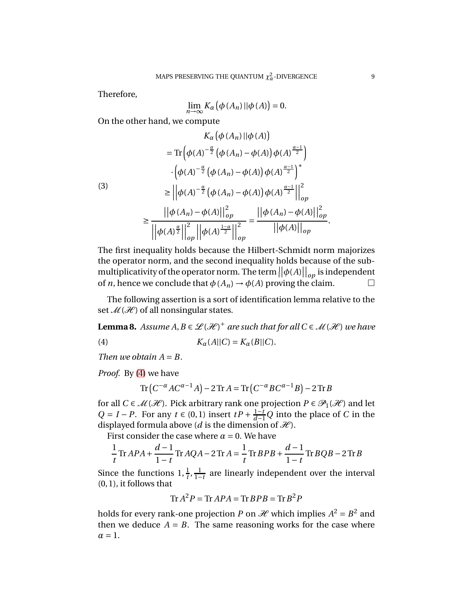Therefore,

$$
\lim_{n\to\infty}K_{\alpha}\big(\phi(A_n)\,||\phi(A)\big)=0.
$$

On the other hand, we compute

<span id="page-8-1"></span>
$$
K_{\alpha} (\phi(A_n) || \phi(A))
$$
  
= Tr  $(\phi(A)^{-\frac{\alpha}{2}} (\phi(A_n) - \phi(A)) \phi(A)^{\frac{\alpha-1}{2}})$   

$$
\cdot (\phi(A)^{-\frac{\alpha}{2}} (\phi(A_n) - \phi(A)) \phi(A)^{\frac{\alpha-1}{2}})^{*}
$$
  

$$
\geq ||\phi(A)^{-\frac{\alpha}{2}} (\phi(A_n) - \phi(A)) \phi(A)^{\frac{\alpha-1}{2}}||_{op}^{2}
$$
  

$$
\geq \frac{||\phi(A_n) - \phi(A)||_{op}^{2}}{||\phi(A)^{\frac{\alpha}{2}}||_{op}^{2}} = \frac{||\phi(A_n) - \phi(A)||_{op}^{2}}{||\phi(A)||_{op}}.
$$

The first inequality holds because the Hilbert-Schmidt norm majorizes the operator norm, and the second inequality holds because of the submultiplicativity of the operator norm. The term  $\left|\left|\phi(A)\right|\right|_{op}$  is independent of *n*, hence we conclude that  $\phi(A_n) \rightarrow \phi(A)$  proving the claim.

The following assertion is a sort of identification lemma relative to the set  $\mathcal{M}(\mathcal{H})$  of all nonsingular states.

<span id="page-8-2"></span>**Lemma 8.** Assume  $A, B \in \mathcal{L}(\mathcal{H})^+$  are such that for all  $C \in \mathcal{M}(\mathcal{H})$  we have

(4) 
$$
K_{\alpha}(A||C) = K_{\alpha}(B||C).
$$

*Then we obtain*  $A = B$ .

*Proof.* By [\(4\)](#page-8-0) we have

<span id="page-8-0"></span>
$$
\operatorname{Tr}\left(C^{-\alpha}AC^{\alpha-1}A\right) - 2\operatorname{Tr} A = \operatorname{Tr}\left(C^{-\alpha}BC^{\alpha-1}B\right) - 2\operatorname{Tr} B
$$

for all *C*  $\in \mathcal{M}(\mathcal{H})$ . Pick arbitrary rank one projection  $P \in \mathcal{P}_1(\mathcal{H})$  and let *Q* = *I* − *P*. For any *t* ∈ (0, 1) insert  $tP + \frac{1-t}{d-1}$ *d*−1 *Q* into the place of *C* in the displayed formula above (*d* is the dimension of  $\mathcal{H}$ ).

First consider the case where  $\alpha = 0$ . We have

$$
\frac{1}{t}\operatorname{Tr}APA + \frac{d-1}{1-t}\operatorname{Tr} AQA - 2\operatorname{Tr} A = \frac{1}{t}\operatorname{Tr} BPB + \frac{d-1}{1-t}\operatorname{Tr} BQB - 2\operatorname{Tr} B
$$

Since the functions  $1, \frac{1}{t}, \frac{1}{1-t}$  $\frac{1}{1-t}$  are linearly independent over the interval (0,1), it follows that

$$
\text{Tr}\,A^2P = \text{Tr}\,APA = \text{Tr}\, BPB = \text{Tr}\, B^2P
$$

holds for every rank-one projection *P* on  $\mathcal H$  which implies  $A^2 = B^2$  and then we deduce  $A = B$ . The same reasoning works for the case where  $\alpha = 1$ .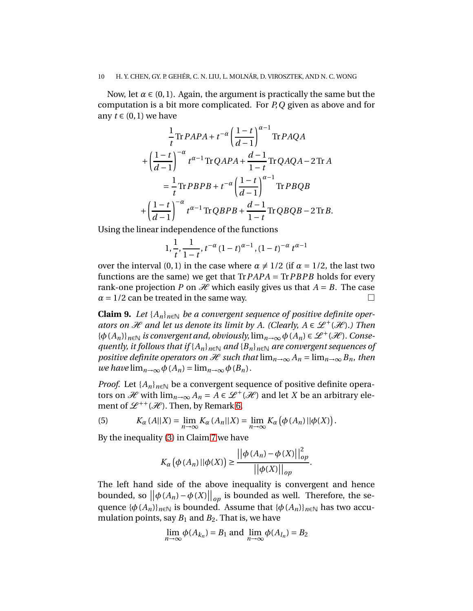# 10 H. Y. CHEN, GY. P. GEHÉR, C. N. LIU, L. MOLNÁR, D. VIROSZTEK, AND N. C. WONG

Now, let  $\alpha \in (0,1)$ . Again, the argument is practically the same but the computation is a bit more complicated. For *P*,*Q* given as above and for any  $t \in (0,1)$  we have

$$
\frac{1}{t}\text{Tr} PAPA + t^{-\alpha} \left(\frac{1-t}{d-1}\right)^{\alpha-1} \text{Tr} PAQA
$$
  
+ 
$$
\left(\frac{1-t}{d-1}\right)^{-\alpha} t^{\alpha-1} \text{Tr} QAPA + \frac{d-1}{1-t} \text{Tr} QAQA - 2 \text{Tr} A
$$
  
= 
$$
\frac{1}{t} \text{Tr} PBPB + t^{-\alpha} \left(\frac{1-t}{d-1}\right)^{\alpha-1} \text{Tr} PBQB
$$
  
+ 
$$
\left(\frac{1-t}{d-1}\right)^{-\alpha} t^{\alpha-1} \text{Tr} QBPB + \frac{d-1}{1-t} \text{Tr} QBQB - 2 \text{Tr} B.
$$

Using the linear independence of the functions

$$
1, \frac{1}{t}, \frac{1}{1-t}, t^{-\alpha} (1-t)^{\alpha-1}, (1-t)^{-\alpha} t^{\alpha-1}
$$

over the interval (0,1) in the case where  $\alpha \neq 1/2$  (if  $\alpha = 1/2$ , the last two functions are the same) we get that Tr*PAPA* = Tr*PBPB* holds for every rank-one projection *P* on  $\mathcal{H}$  which easily gives us that  $A = B$ . The case  $\alpha = 1/2$  can be treated in the same way.

<span id="page-9-1"></span>**Claim 9.** Let  $\{A_n\}_{n\in\mathbb{N}}$  be a convergent sequence of positive definite oper*ators on*  $\mathcal H$  *and let us denote its limit by A. (Clearly, A*  $\in \mathcal L^+(\mathcal H)$ *.) Then*  ${\phi(A_n)}_{n\in\mathbb{N}}$  *is convergent and, obviously,*  $\lim_{n\to\infty}\phi(A_n) \in \mathcal{L}^+(\mathcal{H})$ . *Consequently, it follows that if* { $A_n$ }<sub>*n*∈N</sub> *and* { $B_n$ }<sub>*n*∈N</sub> *are convergent sequences of positive definite operators on*  $\mathcal H$  *such that*  $\lim_{n\to\infty} A_n = \lim_{n\to\infty} B_n$ , *then we have*  $\lim_{n\to\infty}\phi(A_n) = \lim_{n\to\infty}\phi(B_n)$ .

*Proof.* Let  $\{A_n\}_{n\in\mathbb{N}}$  be a convergent sequence of positive definite operators on  $\mathcal{H}$  with  $\lim_{n\to\infty} A_n = A \in \mathcal{L}^+(\mathcal{H})$  and let *X* be an arbitrary element of  $\mathcal{L}^{++}(\mathcal{H})$ . Then, by Remark [6,](#page-7-0)

(5) 
$$
K_{\alpha}(A||X) = \lim_{n \to \infty} K_{\alpha}(A_n||X) = \lim_{n \to \infty} K_{\alpha}(\phi(A_n)||\phi(X)).
$$

By the inequality [\(3\)](#page-8-1) in Claim [7](#page-7-1) we have

<span id="page-9-0"></span>
$$
K_{\alpha}\left(\phi(A_n) \left|\left|\phi(X)\right.\right|\right) \geq \frac{\left|\left|\phi(A_n) - \phi(X)\right|\right|_{op}^2}{\left|\left|\phi(X)\right|\right|_{op}}.
$$

The left hand side of the above inequality is convergent and hence bounded, so  $||\phi(A_n) - \phi(X)||_{op}$  is bounded as well. Therefore, the sequence  ${\{\phi(A_n)\}}_{n\in\mathbb{N}}$  is bounded. Assume that  ${\{\phi(A_n)\}}_{n\in\mathbb{N}}$  has two accumulation points, say  $B_1$  and  $B_2$ . That is, we have

$$
\lim_{n \to \infty} \phi(A_{k_n}) = B_1 \text{ and } \lim_{n \to \infty} \phi(A_{l_n}) = B_2
$$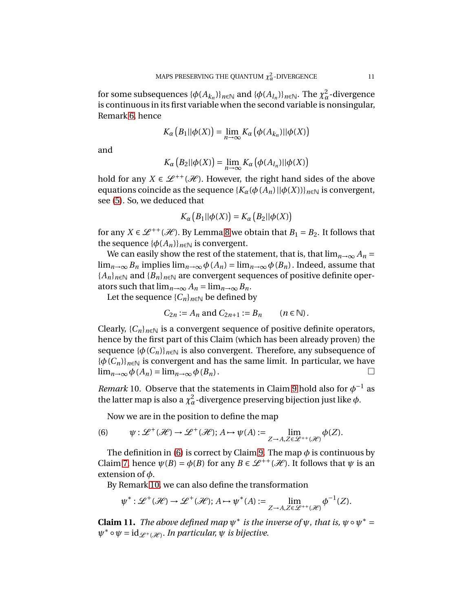for some subsequences  $\{\phi(A_{k_n})\}_{n\in\mathbb{N}}$  and  $\{\phi(A_{l_n})\}_{n\in\mathbb{N}}.$  The  $\chi^2_\alpha$ -divergence is continuous in its first variable when the second variable is nonsingular, Remark [6,](#page-7-0) hence

$$
K_{\alpha}\big(B_1||\phi(X)\big)=\lim_{n\to\infty}K_{\alpha}\big(\phi(A_{k_n})||\phi(X)\big)
$$

and

$$
K_{\alpha}\left(B_{2}||\phi(X)\right)=\lim_{n\to\infty}K_{\alpha}\left(\phi(A_{l_{n}})||\phi(X)\right)
$$

hold for any  $X \in \mathcal{L}^{++}(\mathcal{H})$ . However, the right hand sides of the above equations coincide as the sequence  ${K_\alpha(\phi(A_n)||\phi(X))}_{n \in \mathbb{N}}$  is convergent, see [\(5\)](#page-9-0). So, we deduced that

$$
K_{\alpha}(B_1||\phi(X)) = K_{\alpha}(B_2||\phi(X))
$$

for any *X*  $\in \mathcal{L}^{++}(\mathcal{H})$ . By Lemma [8](#page-8-2) we obtain that  $B_1 = B_2$ . It follows that the sequence  ${\lbrace \phi(A_n) \rbrace}_{n \in \mathbb{N}}$  is convergent.

We can easily show the rest of the statement, that is, that  $\lim_{n\to\infty} A_n =$ lim<sub>*n*→∞</sub> *B<sub>n</sub>* implies lim<sub>*n*→∞</sub>  $\phi$ (*A<sub>n</sub>*) = lim<sub>*n*→∞</sub>  $\phi$ (*B<sub>n</sub>*). Indeed, assume that  ${A_n}_{n \in \mathbb{N}}$  and  ${B_n}_{n \in \mathbb{N}}$  are convergent sequences of positive definite operators such that  $\lim_{n\to\infty} A_n = \lim_{n\to\infty} B_n$ .

Let the sequence  ${C_n}_{n \in \mathbb{N}}$  be defined by

$$
C_{2n} := A_n \text{ and } C_{2n+1} := B_n \qquad (n \in \mathbb{N}).
$$

Clearly,  ${C_n}_{n \in \mathbb{N}}$  is a convergent sequence of positive definite operators, hence by the first part of this Claim (which has been already proven) the sequence  ${\{\phi(C_n)\}}_{n\in\mathbb{N}}$  is also convergent. Therefore, any subsequence of  ${\phi(C_n)}_{n\in\mathbb{N}}$  is convergent and has the same limit. In particular, we have  $\lim_{n\to\infty} \phi(A_n) = \lim_{n\to\infty} \phi(B_n).$ 

<span id="page-10-1"></span>*Remark* 10. Observe that the statements in Claim [9](#page-9-1) hold also for  $\phi^{-1}$  as the latter map is also a  $\chi^2_\alpha$ -divergence preserving bijection just like *φ*.

<span id="page-10-0"></span>Now we are in the position to define the map

(6) 
$$
\psi: \mathcal{L}^+(\mathcal{H}) \to \mathcal{L}^+(\mathcal{H}); A \mapsto \psi(A) := \lim_{Z \to A, Z \in \mathcal{L}^{++}(\mathcal{H})} \phi(Z).
$$

The definition in [\(6\)](#page-10-0) is correct by Claim [9.](#page-9-1) The map  $\phi$  is continuous by Claim [7,](#page-7-1) hence  $\psi(B) = \phi(B)$  for any  $B \in \mathcal{L}^{++}(\mathcal{H})$ . It follows that  $\psi$  is an extension of *φ*.

By Remark [10,](#page-10-1) we can also define the transformation

$$
\psi^* : \mathcal{L}^+ (\mathcal{H}) \to \mathcal{L}^+ (\mathcal{H}); A \mapsto \psi^* (A) := \lim_{Z \to A, Z \in \mathcal{L}^{++} (\mathcal{H})} \phi^{-1} (Z).
$$

**Claim 11.** *The above defined map*  $\psi^*$  *is the inverse of*  $\psi$ *, that is,*  $\psi \circ \psi^* =$  $\psi^* \circ \psi = \text{id}_{\mathscr{L}^+(\mathscr{H})}$ . *In particular,*  $\psi$  *is bijective.*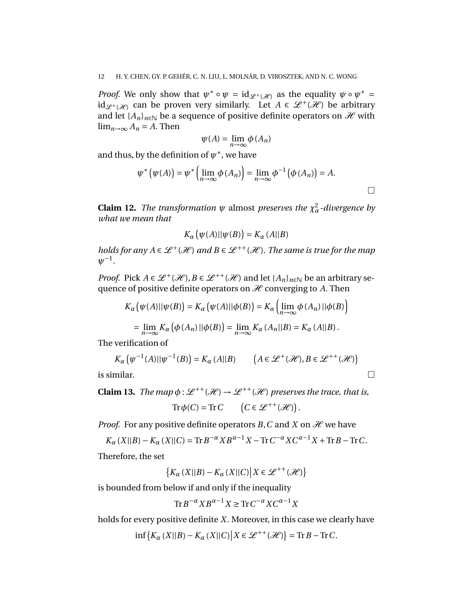*Proof.* We only show that  $\psi^* \circ \psi = id_{\mathscr{L}^+(\mathscr{H})}$  as the equality  $\psi \circ \psi^* =$ id  $\mathcal{L}^+(\mathcal{H})$  can be proven very similarly. Let  $A \in \mathcal{L}^+(\mathcal{H})$  be arbitrary and let  $\{A_n\}_{n\in\mathbb{N}}$  be a sequence of positive definite operators on  $\mathcal{H}$  with  $\lim_{n\to\infty} A_n = A$ . Then

$$
\psi(A)=\lim_{n\to\infty}\phi(A_n)
$$

and thus, by the definition of  $\psi^*$ , we have

$$
\psi^* (\psi(A)) = \psi^* \left( \lim_{n \to \infty} \phi(A_n) \right) = \lim_{n \to \infty} \phi^{-1} (\phi(A_n)) = A.
$$

<span id="page-11-0"></span>**Claim 12.** *The transformation*  $\psi$  almost *preserves the*  $\chi^2_\alpha$ -divergence by *what we mean that*

$$
K_{\alpha}\big(\psi(A)||\psi(B)\big) = K_{\alpha}\left(A||B\right)
$$

*holds for any*  $A \in \mathcal{L}^+(\mathcal{H})$  *and*  $B \in \mathcal{L}^{++}(\mathcal{H})$ . *The same is true for the map*  $\psi^{-1}.$ 

*Proof.* Pick  $A \in \mathcal{L}^+(\mathcal{H})$ ,  $B \in \mathcal{L}^{++}(\mathcal{H})$  and let  $\{A_n\}_{n \in \mathbb{N}}$  be an arbitrary sequence of positive definite operators on  $\mathcal H$  converging to A. Then

$$
K_{\alpha}(\psi(A)||\psi(B)) = K_{\alpha}(\psi(A)||\phi(B)) = K_{\alpha}\left(\lim_{n \to \infty} \phi(A_n)||\phi(B)\right)
$$
  
= 
$$
\lim_{n \to \infty} K_{\alpha}(\phi(A_n)||\phi(B)) = \lim_{n \to \infty} K_{\alpha}(A_n||B) = K_{\alpha}(A||B).
$$

The verification of

$$
K_{\alpha}(\psi^{-1}(A)||\psi^{-1}(B)) = K_{\alpha}(A||B) \qquad (A \in \mathcal{L}^{+}(\mathcal{H}), B \in \mathcal{L}^{++}(\mathcal{H}))
$$
  
is similar.

<span id="page-11-1"></span>**Claim 13.** *The map*  $\phi : \mathcal{L}^{++}(\mathcal{H}) \to \mathcal{L}^{++}(\mathcal{H})$  preserves the trace, that is,

$$
\mathrm{Tr}\,\phi(C) = \mathrm{Tr}\,C \qquad \left(C \in \mathcal{L}^{++}(\mathcal{H})\right).
$$

*Proof.* For any positive definite operators *B*, *C* and *X* on  $\mathcal{H}$  we have

$$
K_{\alpha}(X||B) - K_{\alpha}(X||C) = \text{Tr} B^{-\alpha} X B^{\alpha-1} X - \text{Tr} C^{-\alpha} X C^{\alpha-1} X + \text{Tr} B - \text{Tr} C.
$$

Therefore, the set

 $\{K_\alpha(X||B) - K_\alpha(X||C) | X \in \mathcal{L}^{++}(\mathcal{H})\}$ 

is bounded from below if and only if the inequality

$$
\text{Tr} \, B^{-\alpha} X B^{\alpha - 1} X \ge \text{Tr} \, C^{-\alpha} X C^{\alpha - 1} X
$$

holds for every positive definite *X*. Moreover, in this case we clearly have

$$
\inf\big\{K_{\alpha}\left(X||B\right)-K_{\alpha}\left(X||C\right)\big|X\in\mathscr{L}^{++}(\mathscr{H})\big\}=\text{Tr}\,B-\text{Tr}\,C.
$$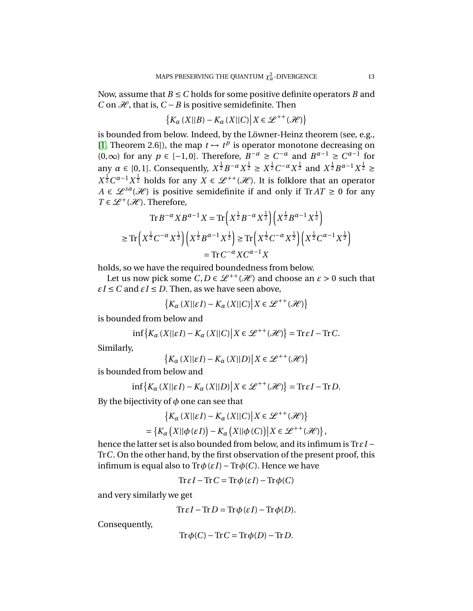Now, assume that  $B \leq C$  holds for some positive definite operators *B* and *C* on  $\mathcal{H}$ , that is, *C* − *B* is positive semidefinite. Then

$$
\{K_{\alpha}(X||B) - K_{\alpha}(X||C)\big| X \in \mathcal{L}^{++}(\mathcal{H})\}
$$

is bounded from below. Indeed, by the Löwner-Heinz theorem (see, e.g., [\[1,](#page-21-7) Theorem 2.6]), the map  $t \mapsto t^p$  is operator monotone decreasing on (0,∞) for any  $p \in [-1,0]$ . Therefore,  $B^{-\alpha} \ge C^{-\alpha}$  and  $B^{\alpha-1} \ge C^{\alpha-1}$  for any  $\alpha \in [0,1]$ . Consequently,  $X^{\frac{1}{2}}B^{-\alpha}X^{\frac{1}{2}} \ge X^{\frac{1}{2}}C^{-\alpha}X^{\frac{1}{2}}$  and  $X^{\frac{1}{2}}B^{\alpha-1}X^{\frac{1}{2}} \ge X^{\frac{1}{2}}C^{-\frac{1}{2}}$  $X^{\frac{1}{2}}C^{\alpha-1}X^{\frac{1}{2}}$  holds for any  $X \in \mathscr{L}^{++}(\mathscr{H})$ . It is folklore that an operator *A* ∈  $\mathscr{L}^{sa}(\mathscr{H})$  is positive semidefinite if and only if Tr *AT* ≥ 0 for any  $T \in \mathcal{L}^+(\mathcal{H})$ . Therefore,

$$
\operatorname{Tr} B^{-\alpha} X B^{\alpha - 1} X = \operatorname{Tr} \left( X^{\frac{1}{2}} B^{-\alpha} X^{\frac{1}{2}} \right) \left( X^{\frac{1}{2}} B^{\alpha - 1} X^{\frac{1}{2}} \right)
$$
  
\n
$$
\geq \operatorname{Tr} \left( X^{\frac{1}{2}} C^{-\alpha} X^{\frac{1}{2}} \right) \left( X^{\frac{1}{2}} B^{\alpha - 1} X^{\frac{1}{2}} \right) \geq \operatorname{Tr} \left( X^{\frac{1}{2}} C^{-\alpha} X^{\frac{1}{2}} \right) \left( X^{\frac{1}{2}} C^{\alpha - 1} X^{\frac{1}{2}} \right)
$$
  
\n
$$
= \operatorname{Tr} C^{-\alpha} X C^{\alpha - 1} X
$$

holds, so we have the required boundedness from below.

Let us now pick some  $C, D \in \mathcal{L}^{++}(\mathcal{H})$  and choose an  $\varepsilon > 0$  such that  $\epsilon I \le C$  and  $\epsilon I \le D$ . Then, as we have seen above,

$$
\{K_{\alpha}(X||\varepsilon I) - K_{\alpha}(X||C)\big| X \in \mathcal{L}^{++}(\mathcal{H})\}
$$

is bounded from below and

$$
\inf\{K_{\alpha}\left(X||\varepsilon I\right)-K_{\alpha}\left(X||C\right)|X\in\mathscr{L}^{++}(\mathscr{H})\}=\mathrm{Tr}\,\varepsilon I-\mathrm{Tr}\,C.
$$

Similarly,

$$
\left\{K_{\alpha}(X||\varepsilon I) - K_{\alpha}(X||D)\middle| X \in \mathcal{L}^{++}(\mathcal{H})\right\}
$$

is bounded from below and

$$
\inf\big\{K_{\alpha}\left(X||\varepsilon I\right)-K_{\alpha}\left(X||D\right)\big|X\in\mathscr{L}^{++}(\mathscr{H})\big\}=\mathrm{Tr}\,\varepsilon I-\mathrm{Tr}\,D.
$$

By the bijectivity of  $\phi$  one can see that

$$
\{K_{\alpha}(X||\varepsilon I) - K_{\alpha}(X||C) | X \in \mathcal{L}^{++}(\mathcal{H})\}
$$
  
= 
$$
\{K_{\alpha}(X||\phi(\varepsilon I)) - K_{\alpha}(X||\phi(C)) | X \in \mathcal{L}^{++}(\mathcal{H})\}
$$

,

hence the latter set is also bounded from below, and its infimum is Tr*εI* − Tr*C*. On the other hand, by the first observation of the present proof, this infimum is equal also to  $Tr \phi(\varepsilon I)$  –  $Tr \phi(C)$ . Hence we have

$$
\text{Tr}\,\varepsilon I - \text{Tr}\,C = \text{Tr}\,\phi(\varepsilon I) - \text{Tr}\,\phi(C)
$$

and very similarly we get

$$
\text{Tr}\,\varepsilon I - \text{Tr}\,D = \text{Tr}\,\phi(\varepsilon I) - \text{Tr}\,\phi(D).
$$

Consequently,

$$
\mathrm{Tr}\,\phi(C) - \mathrm{Tr}\,C = \mathrm{Tr}\,\phi(D) - \mathrm{Tr}\,D.
$$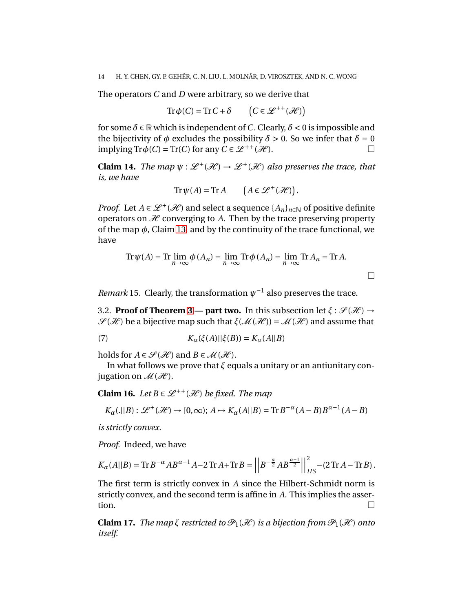The operators *C* and *D* were arbitrary, so we derive that

$$
\operatorname{Tr}\phi(C) = \operatorname{Tr}C + \delta \qquad \left(C \in \mathcal{L}^{++}(\mathcal{H})\right)
$$

for some  $\delta \in \mathbb{R}$  which is independent of *C*. Clearly,  $\delta < 0$  is impossible and the bijectivity of  $\phi$  excludes the possibility  $\delta > 0$ . So we infer that  $\delta = 0$ implying  $\text{Tr}\phi(C) = \text{Tr}(C)$  for any  $C \in \mathcal{L}^{++}(\mathcal{H})$ .

<span id="page-13-3"></span>**Claim 14.** *The map*  $\psi : \mathcal{L}^+(\mathcal{H}) \to \mathcal{L}^+(\mathcal{H})$  also preserves the trace, that *is, we have*

$$
\operatorname{Tr}\psi(A)=\operatorname{Tr} A\qquad\bigl(A\in\mathscr{L}^+(\mathscr{H})\bigr).
$$

*Proof.* Let  $A \in \mathcal{L}^+(\mathcal{H})$  and select a sequence  $\{A_n\}_{n \in \mathbb{N}}$  of positive definite operators on  $H$  converging to A. Then by the trace preserving property of the map  $\phi$ , Claim [13,](#page-11-1) and by the continuity of the trace functional, we have

$$
\operatorname{Tr}\psi(A) = \operatorname{Tr}\lim_{n \to \infty} \phi(A_n) = \lim_{n \to \infty} \operatorname{Tr}\phi(A_n) = \lim_{n \to \infty} \operatorname{Tr} A_n = \operatorname{Tr} A.
$$

<span id="page-13-4"></span>*Remark* 15. Clearly, the transformation  $\psi^{-1}$  also preserves the trace.

3.2. **Proof of Theorem [3](#page-5-0)** — **part two.** In this subsection let  $\xi$ :  $\mathcal{S}(\mathcal{H}) \rightarrow$  $\mathscr{S}(\mathscr{H})$  be a bijective map such that  $\xi(\mathscr{M}(\mathscr{H})) = \mathscr{M}(\mathscr{H})$  and assume that

<span id="page-13-2"></span>(7) 
$$
K_{\alpha}(\xi(A)||\xi(B)) = K_{\alpha}(A||B)
$$

holds for  $A \in \mathcal{S}(\mathcal{H})$  and  $B \in \mathcal{M}(\mathcal{H})$ .

In what follows we prove that *ξ* equals a unitary or an antiunitary conjugation on  $\mathcal{M}(\mathcal{H})$ .

<span id="page-13-0"></span>**Claim 16.** *Let*  $B \in \mathcal{L}^{++}(\mathcal{H})$  *be fixed. The map* 

$$
K_{\alpha}(.||B): \mathcal{L}^+(\mathcal{H}) \to [0,\infty); A \mapsto K_{\alpha}(A||B) = \text{Tr} B^{-\alpha}(A-B)B^{\alpha-1}(A-B)
$$

*is strictly convex.*

*Proof.* Indeed, we have

$$
K_{\alpha}(A||B) = \text{Tr}\, B^{-\alpha} A B^{\alpha-1} A - 2 \,\text{Tr}\, A + \text{Tr}\, B = \left| \left| B^{-\frac{\alpha}{2}} A B^{\frac{\alpha-1}{2}} \right| \right|_{HS}^2 - (2 \,\text{Tr}\, A - \text{Tr}\, B).
$$

The first term is strictly convex in *A* since the Hilbert-Schmidt norm is strictly convex, and the second term is affine in *A*. This implies the assertion.

<span id="page-13-1"></span>**Claim 17.** *The map*  $\xi$  *restricted to*  $\mathcal{P}_1(\mathcal{H})$  *is a bijection from*  $\mathcal{P}_1(\mathcal{H})$  *onto itself.*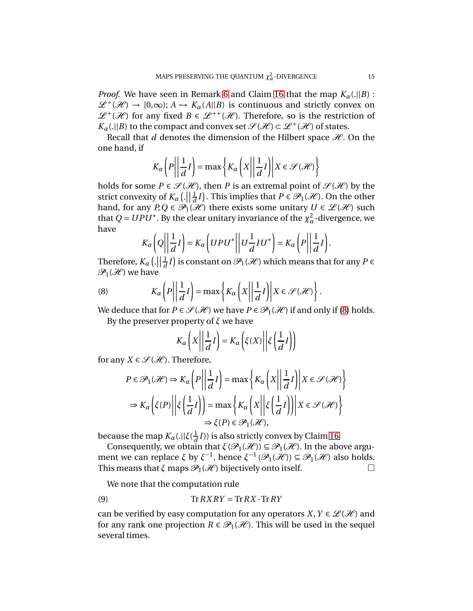*Proof.* We have seen in Remark [6](#page-7-0) and Claim [16](#page-13-0) that the map  $K_\alpha(.||B)$ :  $\mathcal{L}^+(\mathcal{H}) \to [0,\infty); A \mapsto K_\alpha(A||B)$  is continuous and strictly convex on  $\mathscr{L}^+(\mathscr{H})$  for any fixed  $B \in \mathscr{L}^{++}(\mathscr{H})$ . Therefore, so is the restriction of  $K_\alpha(.||B)$  to the compact and convex set  $\mathscr{S}(\mathscr{H}) \subset \mathscr{L}^+(\mathscr{H})$  of states.

Recall that  $d$  denotes the dimension of the Hilbert space  $\mathcal{H}$ . On the one hand, if

$$
K_{\alpha}\left(P\left|\left|\frac{1}{d}I\right.\right)=\max\left\{K_{\alpha}\left(X\left|\left|\frac{1}{d}I\right.\right|\right|X\in\mathscr{S}(\mathcal{H})\right\}
$$

holds for some  $P \in \mathcal{S}(\mathcal{H})$ , then *P* is an extremal point of  $\mathcal{S}(\mathcal{H})$  by the strict convexity of  $K_\alpha$   $\left( . \right) \left| \frac{1}{d} \right|$  $\frac{1}{d}I$ ). This implies that *P* ∈  $\mathcal{P}_1(\mathcal{H})$ . On the other hand, for any  $P, Q \in \mathcal{P}_1(\mathcal{H})$  there exists some unitary  $U \in \mathcal{L}(\mathcal{H})$  such that  $Q = UPU^*$ . By the clear unitary invariance of the  $\chi^2_{\alpha}$ -divergence, we have

$$
K_{\alpha}\left(Q\bigg|\bigg|\frac{1}{d}I\right)=K_{\alpha}\left(UPU^*\bigg|\bigg|U\frac{1}{d}IU^*\right)=K_{\alpha}\left(P\bigg|\bigg|\frac{1}{d}I\right).
$$

Therefore,  $K_{\alpha}$  (.|| 1  $\frac{1}{d}I$ ) is constant on  $\mathscr{P}_1(\mathscr{H})$  which means that for any  $P \in$  $\mathscr{P}_1(\mathscr{H})$  we have

(8) 
$$
K_{\alpha}\left(P \middle| \frac{1}{d}I\right) = \max\left\{K_{\alpha}\left(X \middle| \frac{1}{d}I\right) \middle| X \in \mathcal{S}(\mathcal{H})\right\}.
$$

We deduce that for  $P \in \mathcal{S}(\mathcal{H})$  we have  $P \in \mathcal{P}_1(\mathcal{H})$  if and only if [\(8\)](#page-14-0) holds.

By the preserver property of *ξ* we have

<span id="page-14-0"></span>
$$
K_{\alpha}\left(X\left|\left|\frac{1}{d}I\right.\right)=K_{\alpha}\left(\xi(X)\right|\left|\xi\left(\frac{1}{d}I\right)\right)
$$

for any  $X \in \mathcal{S}(\mathcal{H})$ . Therefore,

$$
P \in \mathcal{P}_1(\mathcal{H}) \Rightarrow K_{\alpha} \left( P \left\| \frac{1}{d} I \right\} = \max \left\{ K_{\alpha} \left( X \left\| \frac{1}{d} I \right\} \right| X \in \mathcal{S}(\mathcal{H}) \right\}
$$

$$
\Rightarrow K_{\alpha} \left( \xi(P) \left\| \xi \left( \frac{1}{d} I \right) \right\} \right) = \max \left\{ K_{\alpha} \left( X \left\| \xi \left( \frac{1}{d} I \right) \right\} \right| X \in \mathcal{S}(\mathcal{H}) \right\}
$$

$$
\Rightarrow \xi(P) \in \mathcal{P}_1(\mathcal{H}),
$$

because the map  $K_\alpha(.)|\xi(\frac{1}{d})$  $\frac{1}{d}I$ )) is also strictly convex by Claim [16.](#page-13-0)

Consequently, we obtain that  $\xi(\mathcal{P}_1(\mathcal{H})) \subseteq \mathcal{P}_1(\mathcal{H})$ . In the above argument we can replace  $\xi$  by  $\xi^{-1}$ , hence  $\xi^{-1}(\mathscr{P}_1(\mathscr{H})) \subseteq \mathscr{P}_1(\mathscr{H})$  also holds. This means that  $\xi$  maps  $\mathcal{P}_1(\mathcal{H})$  bijectively onto itself.

<span id="page-14-1"></span>We note that the computation rule

$$
(9) \t\t \t\text{Tr} R X R Y = \text{Tr} R X \cdot \text{Tr} R Y
$$

can be verified by easy computation for any operators *X*,  $Y \in \mathcal{L}(\mathcal{H})$  and for any rank one projection  $R \in \mathcal{P}_1(\mathcal{H})$ . This will be used in the sequel several times.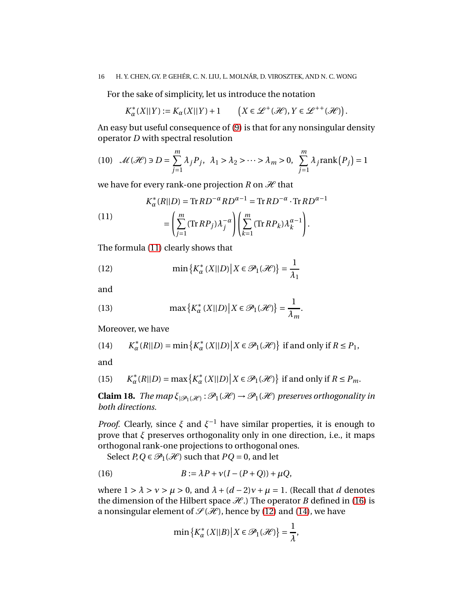### 16 H. Y. CHEN, GY. P. GEHÉR, C. N. LIU, L. MOLNÁR, D. VIROSZTEK, AND N. C. WONG

For the sake of simplicity, let us introduce the notation

$$
K_{\alpha}^*(X||Y) := K_{\alpha}(X||Y) + 1 \qquad \left(X \in \mathcal{L}^+(\mathcal{H}), Y \in \mathcal{L}^{++}(\mathcal{H})\right).
$$

An easy but useful consequence of [\(9\)](#page-14-1) is that for any nonsingular density operator *D* with spectral resolution

<span id="page-15-7"></span>(10) 
$$
\mathcal{M}(\mathcal{H}) \ni D = \sum_{j=1}^{m} \lambda_j P_j
$$
,  $\lambda_1 > \lambda_2 > \cdots > \lambda_m > 0$ ,  $\sum_{j=1}^{m} \lambda_j \text{rank}(P_j) = 1$ 

we have for every rank-one projection  $R$  on  $\mathcal{H}$  that

<span id="page-15-0"></span>(11)  

$$
K_{\alpha}^{*}(R||D) = \text{Tr} RD^{-\alpha} RD^{\alpha - 1} = \text{Tr} RD^{-\alpha} \cdot \text{Tr} RD^{\alpha - 1}
$$

$$
= \left( \sum_{j=1}^{m} (\text{Tr} RP_{j}) \lambda_{j}^{-\alpha} \right) \left( \sum_{k=1}^{m} (\text{Tr} RP_{k}) \lambda_{k}^{\alpha - 1} \right).
$$

The formula [\(11\)](#page-15-0) clearly shows that

<span id="page-15-2"></span>(12) 
$$
\min\left\{K_{\alpha}^{*}\left(X||D\right)\middle|X\in\mathscr{P}_{1}(\mathcal{H})\right\}=\frac{1}{\lambda_{1}}
$$

and

<span id="page-15-4"></span>(13) 
$$
\max \{ K_{\alpha}^{*}(X||D) | X \in \mathcal{P}_{1}(\mathcal{H}) \} = \frac{1}{\lambda_{m}}.
$$

Moreover, we have

<span id="page-15-3"></span>(14) 
$$
K_{\alpha}^{*}(R||D) = \min \{ K_{\alpha}^{*}(X||D) | X \in \mathcal{P}_{1}(\mathcal{H}) \}
$$
 if and only if  $R \leq P_{1}$ ,

and

<span id="page-15-5"></span>(15) 
$$
K_{\alpha}^*(R||D) = \max\{K_{\alpha}^*(X||D)|X \in \mathcal{P}_1(\mathcal{H})\}\}
$$
 if and only if  $R \le P_m$ .

<span id="page-15-6"></span>**Claim 18.** *The map*  $\xi_{|\mathcal{P}_1(\mathcal{H})}$ :  $\mathcal{P}_1(\mathcal{H}) \to \mathcal{P}_1(\mathcal{H})$  preserves orthogonality in *both directions.*

*Proof.* Clearly, since  $\xi$  and  $\xi^{-1}$  have similar properties, it is enough to prove that *ξ* preserves orthogonality only in one direction, i.e., it maps orthogonal rank-one projections to orthogonal ones.

Select  $P, Q \in \mathcal{P}_1(\mathcal{H})$  such that  $PQ = 0$ , and let

(16) 
$$
B := \lambda P + v(I - (P + Q)) + \mu Q,
$$

where  $1 > \lambda > \nu > \mu > 0$ , and  $\lambda + (d-2)\nu + \mu = 1$ . (Recall that *d* denotes the dimension of the Hilbert space  $\mathcal{H}$ .) The operator *B* defined in [\(16\)](#page-15-1) is a nonsingular element of  $\mathcal{S}(H)$ , hence by [\(12\)](#page-15-2) and [\(14\)](#page-15-3), we have

<span id="page-15-1"></span>
$$
\min\big\{K_\alpha^*\left(X||B\right)\big\vert X\in\mathcal{P}_1(\mathcal{H})\big\}=\frac{1}{\lambda},\
$$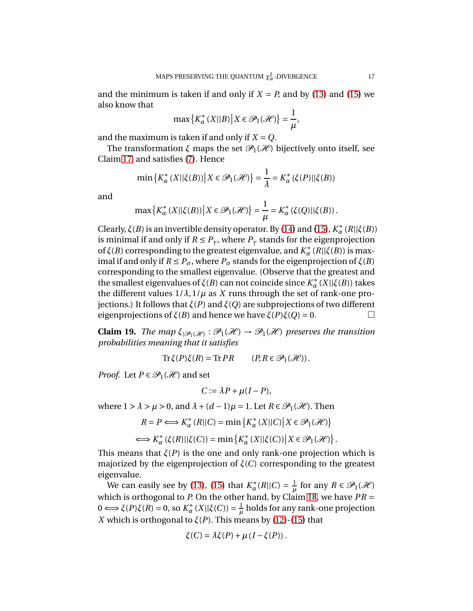and the minimum is taken if and only if  $X = P$ , and by [\(13\)](#page-15-4) and [\(15\)](#page-15-5) we also know that

$$
\max\left\{K_{\alpha}^*(X||B)\big|X\in\mathcal{P}_1(\mathcal{H})\right\}=\frac{1}{\mu},
$$

and the maximum is taken if and only if  $X = Q$ .

The transformation  $\zeta$  maps the set  $\mathcal{P}_1(\mathcal{H})$  bijectively onto itself, see Claim [17,](#page-13-1) and satisfies [\(7\)](#page-13-2). Hence

$$
\min\left\{K_{\alpha}^*(X||\xi(B))\big|X\in\mathcal{P}_1(\mathcal{H})\right\}=\frac{1}{\lambda}=K_{\alpha}^*(\xi(P)||\xi(B))
$$

and

$$
\max\left\{K_{\alpha}^*(X||\xi(B))\big|X\in\mathscr{P}_1(\mathcal{H})\right\}=\frac{1}{\mu}=K_{\alpha}^*(\xi(Q)||\xi(B)).
$$

Clearly,  $\xi(B)$  is an invertible density operator. By [\(14\)](#page-15-3) and [\(15\)](#page-15-5),  $K^*_{\alpha}(R||\xi(B))$ is minimal if and only if  $R \leq P_\gamma$ , where  $P_\gamma$  stands for the eigenprojection of  $ξ(B)$  corresponding to the greatest eigenvalue, and  $K^*_{\alpha}(R||ξ(B))$  is maximal if and only if *R* ≤ *Pσ*, where *P<sup>σ</sup>* stands for the eigenprojection of *ξ*(*B*) corresponding to the smallest eigenvalue. (Observe that the greatest and the smallest eigenvalues of *ξ*(*B*) can not coincide since  $K^*_{\alpha}(X||\xi(B))$  takes the different values  $1/\lambda$ ,  $1/\mu$  as *X* runs through the set of rank-one projections.) It follows that *ξ*(*P*) and *ξ*(*Q*) are subprojections of two different eigenprojections of  $ξ(B)$  and hence we have  $ξ(P)ξ(Q) = 0$ .

**Claim 19.** *The map*  $\xi_{\mathcal{P}_1(\mathcal{H})}: \mathcal{P}_1(\mathcal{H}) \to \mathcal{P}_1(\mathcal{H})$  preserves the transition *probabilities meaning that it satisfies*

$$
\operatorname{Tr}\xi(P)\xi(R) = \operatorname{Tr} PR \qquad (P, R \in \mathscr{P}_1(\mathcal{H})).
$$

*Proof.* Let  $P \in \mathcal{P}_1(\mathcal{H})$  and set

$$
C := \lambda P + \mu (I - P),
$$

where  $1 > \lambda > \mu > 0$ , and  $\lambda + (d-1)\mu = 1$ . Let  $R \in \mathcal{P}_1(\mathcal{H})$ . Then

$$
R = P \Longleftrightarrow K_{\alpha}^{*} (R||C) = \min \{ K_{\alpha}^{*} (X||C) | X \in \mathcal{P}_{1}(\mathcal{H}) \}
$$
  

$$
\Longleftrightarrow K_{\alpha}^{*} (\xi(R)||\xi(C)) = \min \{ K_{\alpha}^{*} (X||\xi(C)) | X \in \mathcal{P}_{1}(\mathcal{H}) \}.
$$

This means that  $\xi(P)$  is the one and only rank-one projection which is majorized by the eigenprojection of *ξ*(*C*) corresponding to the greatest eigenvalue.

We can easily see by [\(13\)](#page-15-4), [\(15\)](#page-15-5) that  $K^*_{\alpha}(R||C) = \frac{1}{\mu}$  $\frac{1}{\mu}$  for any *R* ∈  $\mathscr{P}_1(\mathscr{H})$ which is orthogonal to *P*. On the other hand, by Claim [18,](#page-15-6) we have *PR* =  $0 \Longleftrightarrow \xi(P)\xi(R) = 0$ , so  $K_{\alpha}^{*}(X||\xi(C)) = \frac{1}{\mu}$  $\frac{1}{\mu}$  holds for any rank-one projection *X* which is orthogonal to  $\xi(P)$ . This means by [\(12\)](#page-15-2)-[\(15\)](#page-15-5) that

$$
\xi(C) = \lambda \xi(P) + \mu (I - \xi(P)).
$$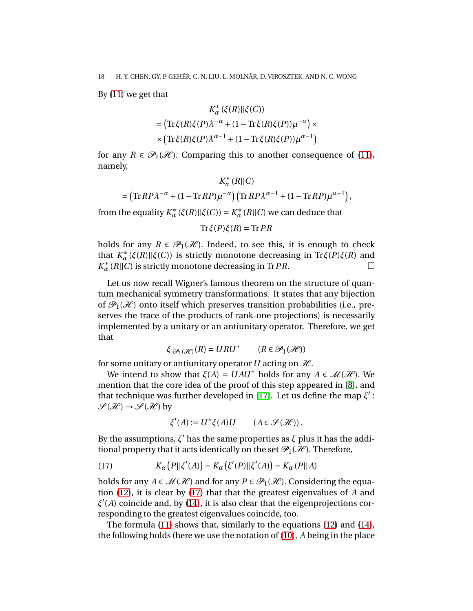By [\(11\)](#page-15-0) we get that

$$
K_{\alpha}^{*}(\xi(R)||\xi(C))
$$
  
= 
$$
\left(\text{Tr}\xi(R)\xi(P)\lambda^{-\alpha} + (1 - \text{Tr}\xi(R)\xi(P))\mu^{-\alpha}\right) \times
$$
  

$$
\times \left(\text{Tr}\xi(R)\xi(P)\lambda^{\alpha-1} + (1 - \text{Tr}\xi(R)\xi(P))\mu^{\alpha-1}\right)
$$

for any  $R \in \mathcal{P}_1(\mathcal{H})$ . Comparing this to another consequence of [\(11\)](#page-15-0), namely,

$$
K_{\alpha}^*(R||C)\\=\left(\mathrm{Tr}\,R P\lambda^{-\alpha}+(1-\mathrm{Tr}\,R P)\mu^{-\alpha}\right)\left(\mathrm{Tr}\,R P\lambda^{\alpha-1}+(1-\mathrm{Tr}\,R P)\mu^{\alpha-1}\right),
$$

from the equality  $K^*_{\alpha}(\xi(R)||\xi(C)) = K^*_{\alpha}(R||C)$  we can deduce that

$$
\operatorname{Tr}\xi(P)\xi(R)=\operatorname{Tr}PR
$$

holds for any  $R \in \mathcal{P}_1(\mathcal{H})$ . Indeed, to see this, it is enough to check that  $K_{\alpha}^{*}(\xi(R)||\xi(C))$  is strictly monotone decreasing in Tr $\xi(P)\xi(R)$  and  $K_{\alpha}^{*}(R||C)$  is strictly monotone decreasing in Tr*PR*.

Let us now recall Wigner's famous theorem on the structure of quantum mechanical symmetry transformations. It states that any bijection of  $\mathcal{P}_1(\mathcal{H})$  onto itself which preserves transition probabilities (i.e., preserves the trace of the products of rank-one projections) is necessarily implemented by a unitary or an antiunitary operator. Therefore, we get that

$$
\xi|\mathcal{P}_1(\mathcal{H})(R)=URU^* \qquad (R\in\mathcal{P}_1(\mathcal{H}))
$$

for some unitary or antiunitary operator U acting on  $\mathcal{H}$ .

We intend to show that  $\zeta(A) = UAU^*$  holds for any  $A \in \mathcal{M}(\mathcal{H})$ . We mention that the core idea of the proof of this step appeared in [\[8\]](#page-21-8), and that technique was further developed in [\[17\]](#page-22-4). Let us define the map  $\xi'$ :  $\mathscr{S}(\mathcal{H}) \rightarrow \mathscr{S}(\mathcal{H})$  by

<span id="page-17-0"></span>
$$
\xi'(A) := U^* \xi(A) U \qquad (A \in \mathcal{S}(\mathcal{H})).
$$

By the assumptions, *ξ* ′ has the same properties as *ξ* plus it has the additional property that it acts identically on the set  $\mathcal{P}_1(\mathcal{H})$ . Therefore,

(17) 
$$
K_{\alpha}(P||\xi'(A)) = K_{\alpha}(\xi'(P)||\xi'(A)) = K_{\alpha}(P||A)
$$

holds for any  $A \in \mathcal{M}(\mathcal{H})$  and for any  $P \in \mathcal{P}_1(\mathcal{H})$ . Considering the equation [\(12\)](#page-15-2), it is clear by [\(17\)](#page-17-0) that that the greatest eigenvalues of *A* and *ξ* ′ (*A*) coincide and, by [\(14\)](#page-15-3), it is also clear that the eigenprojections corresponding to the greatest eigenvalues coincide, too.

The formula [\(11\)](#page-15-0) shows that, similarly to the equations [\(12\)](#page-15-2) and [\(14\)](#page-15-3), the following holds (here we use the notation of [\(10\)](#page-15-7), *A* being in the place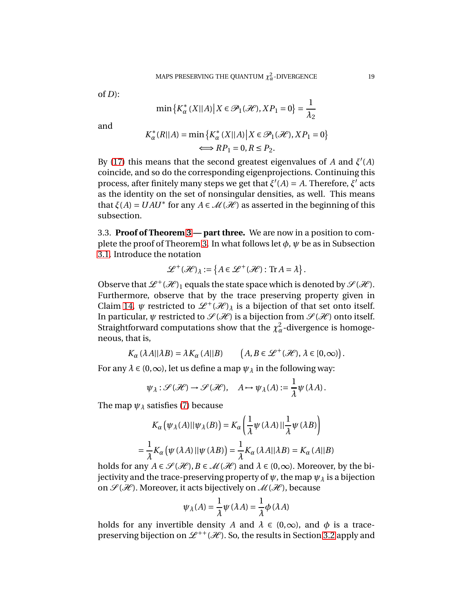of *D*):

$$
\min\left\{K_{\alpha}^*(X||A)\big|X\in\mathcal{P}_1(\mathcal{H}),XP_1=0\right\}=\frac{1}{\lambda_2}
$$

and

$$
K_{\alpha}^{*}(R||A) = \min \{ K_{\alpha}^{*}(X||A) | X \in \mathcal{P}_{1}(\mathcal{H}), XP_{1} = 0 \}
$$
  

$$
\Longleftrightarrow RP_{1} = 0, R \le P_{2}.
$$

By [\(17\)](#page-17-0) this means that the second greatest eigenvalues of *A* and  $\xi'(A)$ coincide, and so do the corresponding eigenprojections. Continuing this process, after finitely many steps we get that  $\zeta'(A) = A$ . Therefore,  $\zeta'$  acts as the identity on the set of nonsingular densities, as well. This means that  $\xi(A) = UAU^*$  for any  $A \in \mathcal{M}(\mathcal{H})$  as asserted in the beginning of this subsection.

3.3. **Proof of Theorem [3](#page-5-0) — part three.** We are now in a position to com-plete the proof of Theorem [3.](#page-5-0) In what follows let  $\phi$ ,  $\psi$  be as in Subsection [3.1.](#page-6-0) Introduce the notation

$$
\mathcal{L}^+(\mathcal{H})_\lambda := \left\{ A \in \mathcal{L}^+(\mathcal{H}) : \text{Tr}\, A = \lambda \right\}.
$$

Observe that  $\mathcal{L}^+(\mathcal{H})_1$  equals the state space which is denoted by  $\mathcal{S}(\mathcal{H})$ . Furthermore, observe that by the trace preserving property given in Claim [14,](#page-13-3)  $\psi$  restricted to  $\mathscr{L}^+(\mathscr{H})_\lambda$  is a bijection of that set onto itself. In particular,  $\psi$  restricted to  $\mathcal{S}(\mathcal{H})$  is a bijection from  $\mathcal{S}(\mathcal{H})$  onto itself. Straightforward computations show that the  $\chi^2_{\alpha}$ -divergence is homogeneous, that is,

$$
K_{\alpha}(\lambda A||\lambda B) = \lambda K_{\alpha}(A||B) \qquad \left(A, B \in \mathcal{L}^{+}(\mathcal{H}), \lambda \in [0, \infty)\right).
$$

For any  $\lambda \in (0,\infty)$ , let us define a map  $\psi_{\lambda}$  in the following way:

$$
\psi_{\lambda} : \mathscr{S}(\mathcal{H}) \to \mathscr{S}(\mathcal{H}), \quad A \mapsto \psi_{\lambda}(A) := \frac{1}{\lambda} \psi(\lambda A).
$$

The map  $\psi_{\lambda}$  satisfies [\(7\)](#page-13-2) because

$$
K_{\alpha}(\psi_{\lambda}(A)||\psi_{\lambda}(B)) = K_{\alpha}\left(\frac{1}{\lambda}\psi(\lambda A)||\frac{1}{\lambda}\psi(\lambda B)\right)
$$

$$
= \frac{1}{\lambda}K_{\alpha}(\psi(\lambda A)||\psi(\lambda B)) = \frac{1}{\lambda}K_{\alpha}(\lambda A||\lambda B) = K_{\alpha}(A||B)
$$

holds for any  $A \in \mathcal{S}(\mathcal{H}), B \in \mathcal{M}(\mathcal{H})$  and  $\lambda \in (0,\infty)$ . Moreover, by the bijectivity and the trace-preserving property of  $\psi$ , the map  $\psi_{\lambda}$  is a bijection on  $\mathcal{I}(\mathcal{H})$ . Moreover, it acts bijectively on  $\mathcal{M}(\mathcal{H})$ , because

$$
\psi_{\lambda}(A) = \frac{1}{\lambda} \psi(\lambda A) = \frac{1}{\lambda} \phi(\lambda A)
$$

holds for any invertible density *A* and  $\lambda \in (0,\infty)$ , and  $\phi$  is a tracepreserving bijection on  $\mathcal{L}^{++}(\mathcal{H})$ . So, the results in Section [3.2](#page-13-4) apply and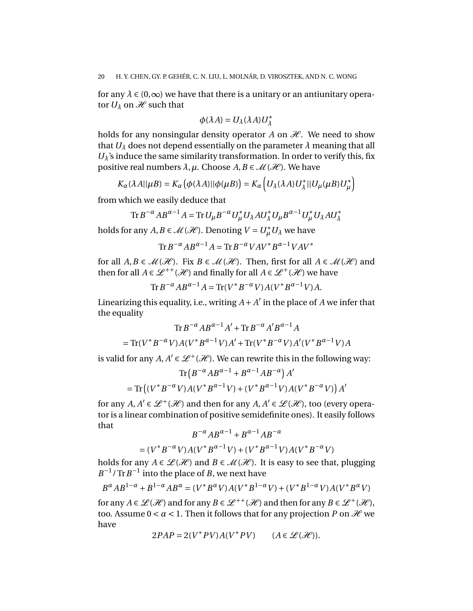for any  $\lambda \in (0,\infty)$  we have that there is a unitary or an antiunitary operator  $U_\lambda$  on  $\mathcal H$  such that

$$
\phi(\lambda A) = U_{\lambda}(\lambda A)U_{\lambda}^*
$$

holds for any nonsingular density operator  $A$  on  $H$ . We need to show that  $U_{\lambda}$  does not depend essentially on the parameter  $\lambda$  meaning that all  $U_\lambda$ 's induce the same similarity transformation. In order to verify this, fix positive real numbers  $\lambda$ ,  $\mu$ . Choose  $A, B \in \mathcal{M}(\mathcal{H})$ . We have

$$
K_{\alpha}(\lambda A||\mu B) = K_{\alpha}(\phi(\lambda A)||\phi(\mu B)) = K_{\alpha}\left(U_{\lambda}(\lambda A)U_{\lambda}^{*}||U_{\mu}(\mu B)U_{\mu}^{*}\right)
$$

from which we easily deduce that

$$
\text{Tr}\,B^{-\alpha}AB^{\alpha-1}A = \text{Tr}\,U_{\mu}B^{-\alpha}U_{\mu}^*U_{\lambda}AU_{\lambda}^*U_{\mu}B^{\alpha-1}U_{\mu}^*U_{\lambda}AU_{\lambda}^*
$$

holds for any  $A, B \in \mathcal{M}(\mathcal{H})$ . Denoting  $V = U^*_{\mu} U_{\lambda}$  we have

$$
\text{Tr}\,B^{-\alpha}AB^{\alpha-1}A = \text{Tr}\,B^{-\alpha}VAV^*B^{\alpha-1}VAV^*
$$

for all  $A, B \in \mathcal{M}(\mathcal{H})$ . Fix  $B \in \mathcal{M}(\mathcal{H})$ . Then, first for all  $A \in \mathcal{M}(\mathcal{H})$  and then for all  $A \in \mathcal{L}^{++}(\mathcal{H})$  and finally for all  $A \in \mathcal{L}^{+}(\mathcal{H})$  we have

$$
\operatorname{Tr} B^{-\alpha} A B^{\alpha-1} A = \operatorname{Tr} (V^* B^{-\alpha} V) A (V^* B^{\alpha-1} V) A.
$$

Linearizing this equality, i.e., writing  $A + A'$  in the place of  $A$  we infer that the equality

$$
\text{Tr}\,B^{-\alpha}AB^{\alpha-1}A' + \text{Tr}\,B^{-\alpha}A'B^{\alpha-1}A
$$

$$
= \text{Tr}(V^*B^{-\alpha}V)A(V^*B^{\alpha-1}V)A' + \text{Tr}(V^*B^{-\alpha}V)A'(V^*B^{\alpha-1}V)A
$$

is valid for any  $A, A' \in \mathcal{L}^+(\mathcal{H})$ . We can rewrite this in the following way:

$$
\operatorname{Tr}\left(B^{-\alpha}AB^{\alpha-1} + B^{\alpha-1}AB^{-\alpha}\right)A'
$$

$$
= \operatorname{Tr}\left((V^*B^{-\alpha}V)A(V^*B^{\alpha-1}V) + (V^*B^{\alpha-1}V)A(V^*B^{-\alpha}V)\right)A'
$$

for any  $A, A' \in \mathcal{L}^+(\mathcal{H})$  and then for any  $A, A' \in \mathcal{L}(\mathcal{H})$ , too (every operator is a linear combination of positive semidefinite ones). It easily follows that

$$
B^{-\alpha}AB^{\alpha-1} + B^{\alpha-1}AB^{-\alpha}
$$
  
=  $(V^*B^{-\alpha}V)A(V^*B^{\alpha-1}V) + (V^*B^{\alpha-1}V)A(V^*B^{-\alpha}V)$ 

holds for any  $A \in \mathcal{L}(\mathcal{H})$  and  $B \in \mathcal{M}(\mathcal{H})$ . It is easy to see that, plugging  $B^{-1}/\text{Tr} B^{-1}$  into the place of *B*, we next have

$$
B^{\alpha}AB^{1-\alpha} + B^{1-\alpha}AB^{\alpha} = (V^*B^{\alpha}V)A(V^*B^{1-\alpha}V) + (V^*B^{1-\alpha}V)A(V^*B^{\alpha}V)
$$

for any  $A \in \mathcal{L}(\mathcal{H})$  and for any  $B \in \mathcal{L}^{++}(\mathcal{H})$  and then for any  $B \in \mathcal{L}^{+}(\mathcal{H})$ , too. Assume  $0 < \alpha < 1$ . Then it follows that for any projection P on H we have

$$
2PAP = 2(V^*PV)A(V^*PV) \qquad (A \in \mathcal{L}(\mathcal{H})).
$$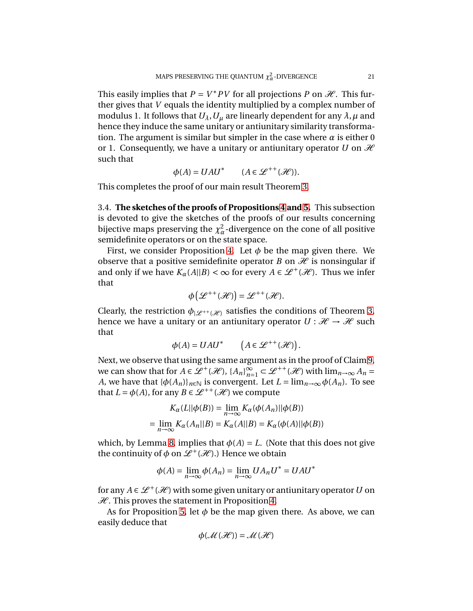This easily implies that  $P = V^*PV$  for all projections P on  $H$ . This further gives that *V* equals the identity multiplied by a complex number of modulus 1. It follows that  $U_{\lambda}$ ,  $U_{\mu}$  are linearly dependent for any  $\lambda$ ,  $\mu$  and hence they induce the same unitary or antiunitary similarity transformation. The argument is similar but simpler in the case where  $\alpha$  is either 0 or 1. Consequently, we have a unitary or antiunitary operator *U* on  $\mathcal{H}$ such that

$$
\phi(A) = UAU^* \qquad (A \in \mathcal{L}^{++}(\mathcal{H})).
$$

This completes the proof of our main result Theorem [3.](#page-5-0)

3.4. **The sketches of the proofs of Propositions [4](#page-5-1) and [5.](#page-5-2)** This subsection is devoted to give the sketches of the proofs of our results concerning bijective maps preserving the  $\chi^2_\alpha$ -divergence on the cone of all positive semidefinite operators or on the state space.

First, we consider Proposition [4.](#page-5-1) Let  $\phi$  be the map given there. We observe that a positive semidefinite operator *B* on  $\mathcal{H}$  is nonsingular if and only if we have  $K_{\alpha}(A||B) < \infty$  for every  $A \in \mathcal{L}^+(\mathcal{H})$ . Thus we infer that

$$
\phi\big(\mathcal{L}^{++}(\mathcal{H})\big)=\mathcal{L}^{++}(\mathcal{H}).
$$

Clearly, the restriction  $\phi_{|\mathscr{L}^{++}(\mathscr{H})}$  satisfies the conditions of Theorem [3,](#page-5-0) hence we have a unitary or an antiunitary operator  $U: \mathcal{H} \to \mathcal{H}$  such that

$$
\phi(A) = UAU^* \qquad \left(A \in \mathcal{L}^{++}(\mathcal{H})\right).
$$

Next, we observe that using the same argument as in the proof of Claim [9,](#page-9-1) we can show that for  $A \in \mathcal{L}^+(\mathcal{H})$ ,  $\{A_n\}_{n=1}^{\infty} \subset \mathcal{L}^{++}(\mathcal{H})$  with  $\lim_{n\to\infty} A_n =$ *A*, we have that  ${\{\phi(A_n)\}}_{n\in\mathbb{N}}$  is convergent. Let  $L = \lim_{n\to\infty} {\phi(A_n)}$ . To see that  $L = \phi(A)$ , for any  $B \in \mathcal{L}^{++}(\mathcal{H})$  we compute

$$
K_{\alpha}(L||\phi(B)) = \lim_{n \to \infty} K_{\alpha}(\phi(A_n)||\phi(B))
$$
  
= 
$$
\lim_{n \to \infty} K_{\alpha}(A_n||B) = K_{\alpha}(A||B) = K_{\alpha}(\phi(A)||\phi(B))
$$

which, by Lemma [8,](#page-8-2) implies that  $\phi(A) = L$ . (Note that this does not give the continuity of  $\phi$  on  $\mathcal{L}^+(\mathcal{H})$ .) Hence we obtain

$$
\phi(A) = \lim_{n \to \infty} \phi(A_n) = \lim_{n \to \infty} U A_n U^* = U A U^*
$$

for any  $A \in \mathcal{L}^+(\mathcal{H})$  with some given unitary or antiunitary operator U on  $H$ . This proves the statement in Proposition [4.](#page-5-1)

As for Proposition [5,](#page-5-2) let  $\phi$  be the map given there. As above, we can easily deduce that

$$
\phi(\mathcal{M}(\mathcal{H})) = \mathcal{M}(\mathcal{H})
$$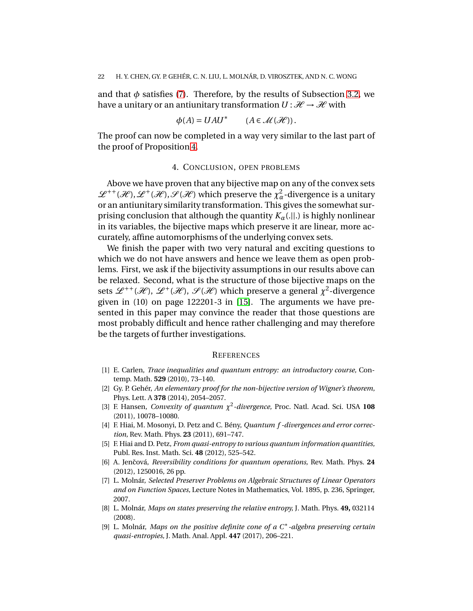and that  $\phi$  satisfies [\(7\)](#page-13-2). Therefore, by the results of Subsection [3.2,](#page-13-4) we have a unitary or an antiunitary transformation  $U: \mathcal{H} \to \mathcal{H}$  with

$$
\phi(A) = UAU^* \qquad (A \in \mathcal{M}(\mathcal{H})).
$$

The proof can now be completed in a way very similar to the last part of the proof of Proposition [4.](#page-5-1)

# 4. CONCLUSION, OPEN PROBLEMS

Above we have proven that any bijective map on any of the convex sets  $L^{++}(\mathcal{H}), L^+(\mathcal{H}), \mathcal{S}(\mathcal{H})$  which preserve the  $\chi^2_\alpha$ -divergence is a unitary or an antiunitary similarity transformation. This gives the somewhat surprising conclusion that although the quantity *Kα*(.||.) is highly nonlinear in its variables, the bijective maps which preserve it are linear, more accurately, affine automorphisms of the underlying convex sets.

We finish the paper with two very natural and exciting questions to which we do not have answers and hence we leave them as open problems. First, we ask if the bijectivity assumptions in our results above can be relaxed. Second, what is the structure of those bijective maps on the sets  $\mathscr{L}^{++}(\mathscr{H})$ ,  $\mathscr{L}^{+}(\mathscr{H})$ ,  $\mathscr{S}(\mathscr{H})$  which preserve a general  $\chi^2$ -divergence given in (10) on page 122201-3 in [\[15\]](#page-22-5). The arguments we have presented in this paper may convince the reader that those questions are most probably difficult and hence rather challenging and may therefore be the targets of further investigations.

#### **REFERENCES**

- <span id="page-21-7"></span><span id="page-21-1"></span>[1] E. Carlen, *Trace inequalities and quantum entropy: an introductory course,* Contemp. Math. **529** (2010), 73–140.
- [2] Gy. P. Gehér, *An elementary proof for the non-bijective version of Wigner's theorem,* Phys. Lett. A **378** (2014), 2054–2057.
- <span id="page-21-3"></span>[3] F. Hansen, *Convexity of quantum χ* 2 *-divergence,* Proc. Natl. Acad. Sci. USA **108** (2011), 10078–10080.
- <span id="page-21-6"></span>[4] F. Hiai, M. Mosonyi, D. Petz and C. Bény, *Quantum f -divergences and error correction,* Rev. Math. Phys. **23** (2011), 691–747.
- <span id="page-21-4"></span>[5] F. Hiai and D. Petz, *From quasi-entropy to various quantum information quantities,* Publ. Res. Inst. Math. Sci. **48** (2012), 525–542.
- <span id="page-21-5"></span>[6] A. Jenˇcová, *Reversibility conditions for quantum operations,* Rev. Math. Phys. **24** (2012), 1250016, 26 pp.
- <span id="page-21-0"></span>[7] L. Molnár, *Selected Preserver Problems on Algebraic Structures of Linear Operators and on Function Spaces,* Lecture Notes in Mathematics, Vol. 1895, p. 236, Springer, 2007.
- <span id="page-21-8"></span>[8] L. Molnár, *Maps on states preserving the relative entropy,* J. Math. Phys. **49,** 032114 (2008).
- <span id="page-21-2"></span>[9] L. Molnár, *Maps on the positive definite cone of a C*<sup>∗</sup> *-algebra preserving certain quasi-entropies,* J. Math. Anal. Appl. **447** (2017), 206–221.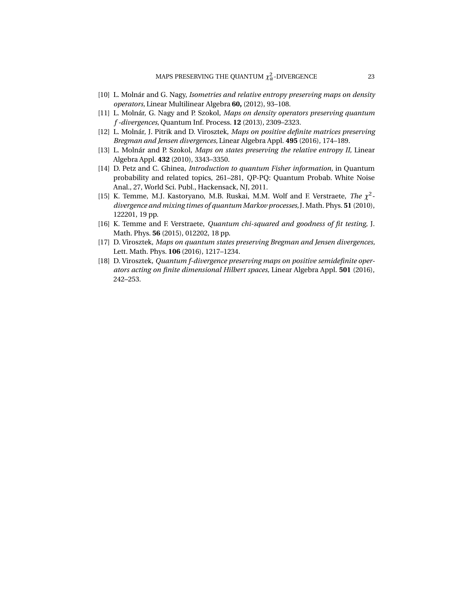- <span id="page-22-6"></span>[10] L. Molnár and G. Nagy, *Isometries and relative entropy preserving maps on density operators,* Linear Multilinear Algebra **60,** (2012), 93–108.
- <span id="page-22-1"></span>[11] L. Molnár, G. Nagy and P. Szokol, *Maps on density operators preserving quantum f -divergences,* Quantum Inf. Process. **12** (2013), 2309–2323.
- <span id="page-22-3"></span><span id="page-22-0"></span>[12] L. Molnár, J. Pitrik and D. Virosztek, *Maps on positive definite matrices preserving Bregman and Jensen divergences,* Linear Algebra Appl. **495** (2016), 174–189.
- <span id="page-22-7"></span>[13] L. Molnár and P. Szokol, *Maps on states preserving the relative entropy II,* Linear Algebra Appl. **432** (2010), 3343–3350.
- [14] D. Petz and C. Ghinea, *Introduction to quantum Fisher information,* in Quantum probability and related topics, 261–281, QP-PQ: Quantum Probab. White Noise Anal., 27, World Sci. Publ., Hackensack, NJ, 2011.
- <span id="page-22-5"></span>[15] K. Temme, M.J. Kastoryano, M.B. Ruskai, M.M. Wolf and F. Verstraete, *The χ* 2  *divergence and mixing times of quantum Markov processes,*J. Math. Phys. **51** (2010), 122201, 19 pp.
- <span id="page-22-8"></span><span id="page-22-4"></span>[16] K. Temme and F. Verstraete, *Quantum chi-squared and goodness of fit testing,* J. Math. Phys. **56** (2015), 012202, 18 pp.
- [17] D. Virosztek, *Maps on quantum states preserving Bregman and Jensen divergences,* Lett. Math. Phys. **106** (2016), 1217–1234.
- <span id="page-22-2"></span>[18] D. Virosztek, *Quantum f-divergence preserving maps on positive semidefinite operators acting on finite dimensional Hilbert spaces,* Linear Algebra Appl. **501** (2016), 242–253.